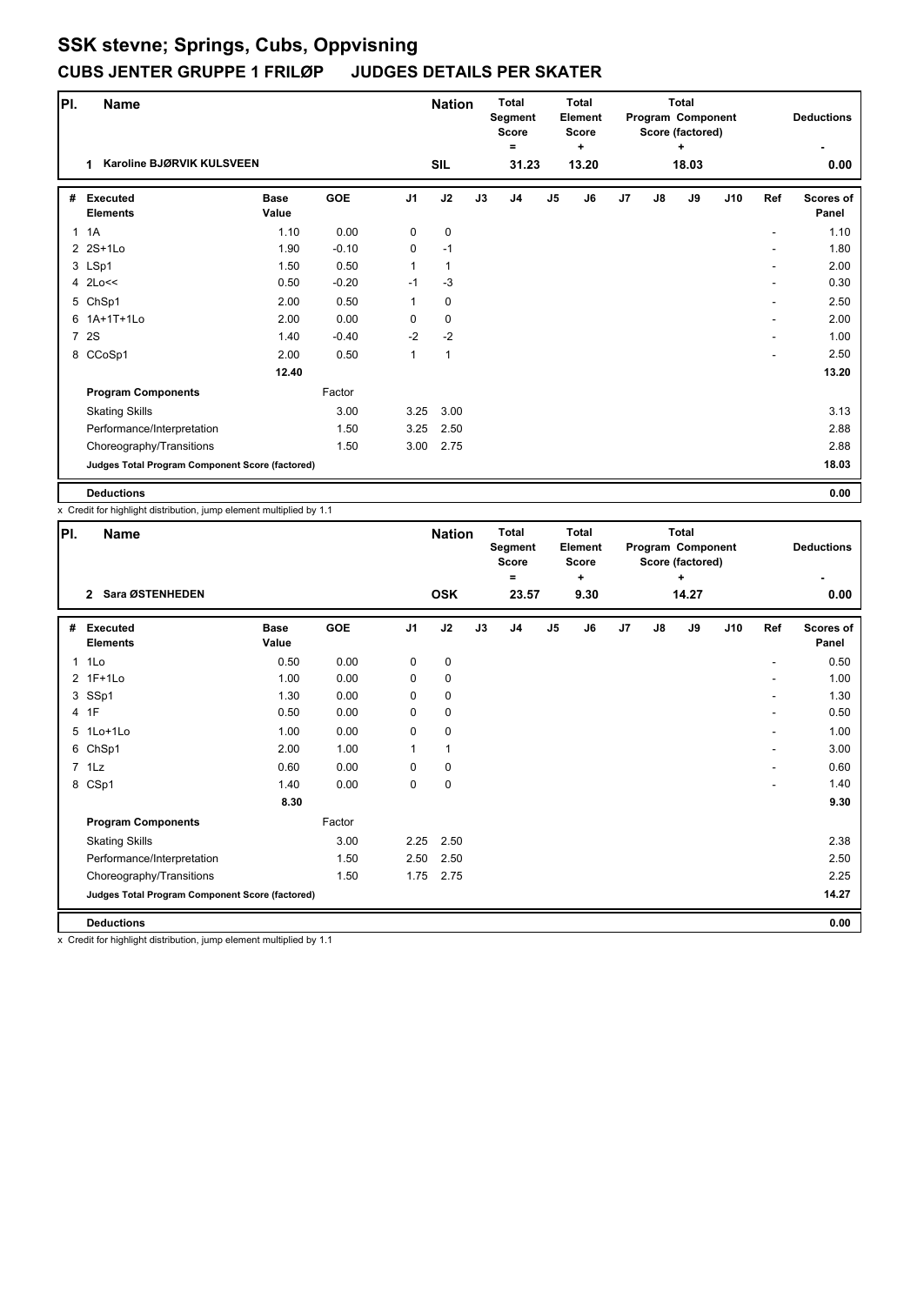| PI.            | <b>Name</b>                                     |                      |         |                | <b>Nation</b> |    | <b>Total</b><br>Segment<br><b>Score</b><br>Ξ |               | <b>Total</b><br>Element<br><b>Score</b><br>÷ |    |               | <b>Total</b><br>Program Component<br>Score (factored)<br>٠ |     |     | <b>Deductions</b>         |
|----------------|-------------------------------------------------|----------------------|---------|----------------|---------------|----|----------------------------------------------|---------------|----------------------------------------------|----|---------------|------------------------------------------------------------|-----|-----|---------------------------|
|                | Karoline BJØRVIK KULSVEEN<br>1                  |                      |         |                | <b>SIL</b>    |    | 31.23                                        |               | 13.20                                        |    |               | 18.03                                                      |     |     | 0.00                      |
| #              | <b>Executed</b><br><b>Elements</b>              | <b>Base</b><br>Value | GOE     | J <sub>1</sub> | J2            | J3 | J4                                           | $\mathsf{J}5$ | J6                                           | J7 | $\mathsf{J}8$ | J9                                                         | J10 | Ref | <b>Scores of</b><br>Panel |
| $\mathbf{1}$   | 1A                                              | 1.10                 | 0.00    | 0              | $\mathbf 0$   |    |                                              |               |                                              |    |               |                                                            |     |     | 1.10                      |
|                | 2 2S+1Lo                                        | 1.90                 | $-0.10$ | 0              | $-1$          |    |                                              |               |                                              |    |               |                                                            |     |     | 1.80                      |
|                | 3 LSp1                                          | 1.50                 | 0.50    | 1              | 1             |    |                                              |               |                                              |    |               |                                                            |     |     | 2.00                      |
|                | 4 2Lo<<                                         | 0.50                 | $-0.20$ | $-1$           | $-3$          |    |                                              |               |                                              |    |               |                                                            |     |     | 0.30                      |
|                | 5 ChSp1                                         | 2.00                 | 0.50    | $\mathbf{1}$   | $\mathbf 0$   |    |                                              |               |                                              |    |               |                                                            |     | ۰   | 2.50                      |
|                | 6 1A+1T+1Lo                                     | 2.00                 | 0.00    | 0              | $\mathbf 0$   |    |                                              |               |                                              |    |               |                                                            |     |     | 2.00                      |
| $\overline{7}$ | 2S                                              | 1.40                 | $-0.40$ | $-2$           | $-2$          |    |                                              |               |                                              |    |               |                                                            |     |     | 1.00                      |
|                | 8 CCoSp1                                        | 2.00                 | 0.50    | 1              | $\mathbf{1}$  |    |                                              |               |                                              |    |               |                                                            |     | ۰   | 2.50                      |
|                |                                                 | 12.40                |         |                |               |    |                                              |               |                                              |    |               |                                                            |     |     | 13.20                     |
|                | <b>Program Components</b>                       |                      | Factor  |                |               |    |                                              |               |                                              |    |               |                                                            |     |     |                           |
|                | <b>Skating Skills</b>                           |                      | 3.00    | 3.25           | 3.00          |    |                                              |               |                                              |    |               |                                                            |     |     | 3.13                      |
|                | Performance/Interpretation                      |                      | 1.50    | 3.25           | 2.50          |    |                                              |               |                                              |    |               |                                                            |     |     | 2.88                      |
|                | Choreography/Transitions                        |                      | 1.50    | 3.00           | 2.75          |    |                                              |               |                                              |    |               |                                                            |     |     | 2.88                      |
|                | Judges Total Program Component Score (factored) |                      |         |                |               |    |                                              |               |                                              |    |               |                                                            |     |     | 18.03                     |
|                | <b>Deductions</b>                               |                      |         |                |               |    |                                              |               |                                              |    |               |                                                            |     |     | 0.00                      |

x Credit for highlight distribution, jump element multiplied by 1.1

| PI. | <b>Name</b>                                     |                      |        |                | <b>Nation</b> |    | <b>Total</b><br>Segment<br><b>Score</b><br>Ξ |                | Total<br>Element<br><b>Score</b><br>٠ |    |               | <b>Total</b><br>Program Component<br>Score (factored)<br>÷ |     |     | <b>Deductions</b>  |
|-----|-------------------------------------------------|----------------------|--------|----------------|---------------|----|----------------------------------------------|----------------|---------------------------------------|----|---------------|------------------------------------------------------------|-----|-----|--------------------|
|     | 2 Sara ØSTENHEDEN                               |                      |        |                | <b>OSK</b>    |    | 23.57                                        |                | 9.30                                  |    |               | 14.27                                                      |     |     | 0.00               |
| #   | <b>Executed</b><br><b>Elements</b>              | <b>Base</b><br>Value | GOE    | J <sub>1</sub> | J2            | J3 | J <sub>4</sub>                               | J <sub>5</sub> | J6                                    | J7 | $\mathsf{J}8$ | J9                                                         | J10 | Ref | Scores of<br>Panel |
|     | 1 1Lo                                           | 0.50                 | 0.00   | 0              | 0             |    |                                              |                |                                       |    |               |                                                            |     |     | 0.50               |
|     | 2 1F+1Lo                                        | 1.00                 | 0.00   | 0              | $\mathbf 0$   |    |                                              |                |                                       |    |               |                                                            |     |     | 1.00               |
|     | 3 SSp1                                          | 1.30                 | 0.00   | 0              | 0             |    |                                              |                |                                       |    |               |                                                            |     |     | 1.30               |
|     | 4 1F                                            | 0.50                 | 0.00   | $\Omega$       | $\mathbf 0$   |    |                                              |                |                                       |    |               |                                                            |     |     | 0.50               |
|     | 5 1Lo+1Lo                                       | 1.00                 | 0.00   | 0              | $\mathbf 0$   |    |                                              |                |                                       |    |               |                                                            |     | ۰   | 1.00               |
|     | 6 ChSp1                                         | 2.00                 | 1.00   | 1              | $\mathbf{1}$  |    |                                              |                |                                       |    |               |                                                            |     |     | 3.00               |
|     | $7$ 1 Lz                                        | 0.60                 | 0.00   | 0              | $\mathbf 0$   |    |                                              |                |                                       |    |               |                                                            |     |     | 0.60               |
|     | 8 CSp1                                          | 1.40                 | 0.00   | 0              | 0             |    |                                              |                |                                       |    |               |                                                            |     |     | 1.40               |
|     |                                                 | 8.30                 |        |                |               |    |                                              |                |                                       |    |               |                                                            |     |     | 9.30               |
|     | <b>Program Components</b>                       |                      | Factor |                |               |    |                                              |                |                                       |    |               |                                                            |     |     |                    |
|     | <b>Skating Skills</b>                           |                      | 3.00   | 2.25           | 2.50          |    |                                              |                |                                       |    |               |                                                            |     |     | 2.38               |
|     | Performance/Interpretation                      |                      | 1.50   | 2.50           | 2.50          |    |                                              |                |                                       |    |               |                                                            |     |     | 2.50               |
|     | Choreography/Transitions                        |                      | 1.50   | 1.75           | 2.75          |    |                                              |                |                                       |    |               |                                                            |     |     | 2.25               |
|     | Judges Total Program Component Score (factored) |                      |        |                |               |    |                                              |                |                                       |    |               |                                                            |     |     | 14.27              |
|     | <b>Deductions</b>                               |                      |        |                |               |    |                                              |                |                                       |    |               |                                                            |     |     | 0.00               |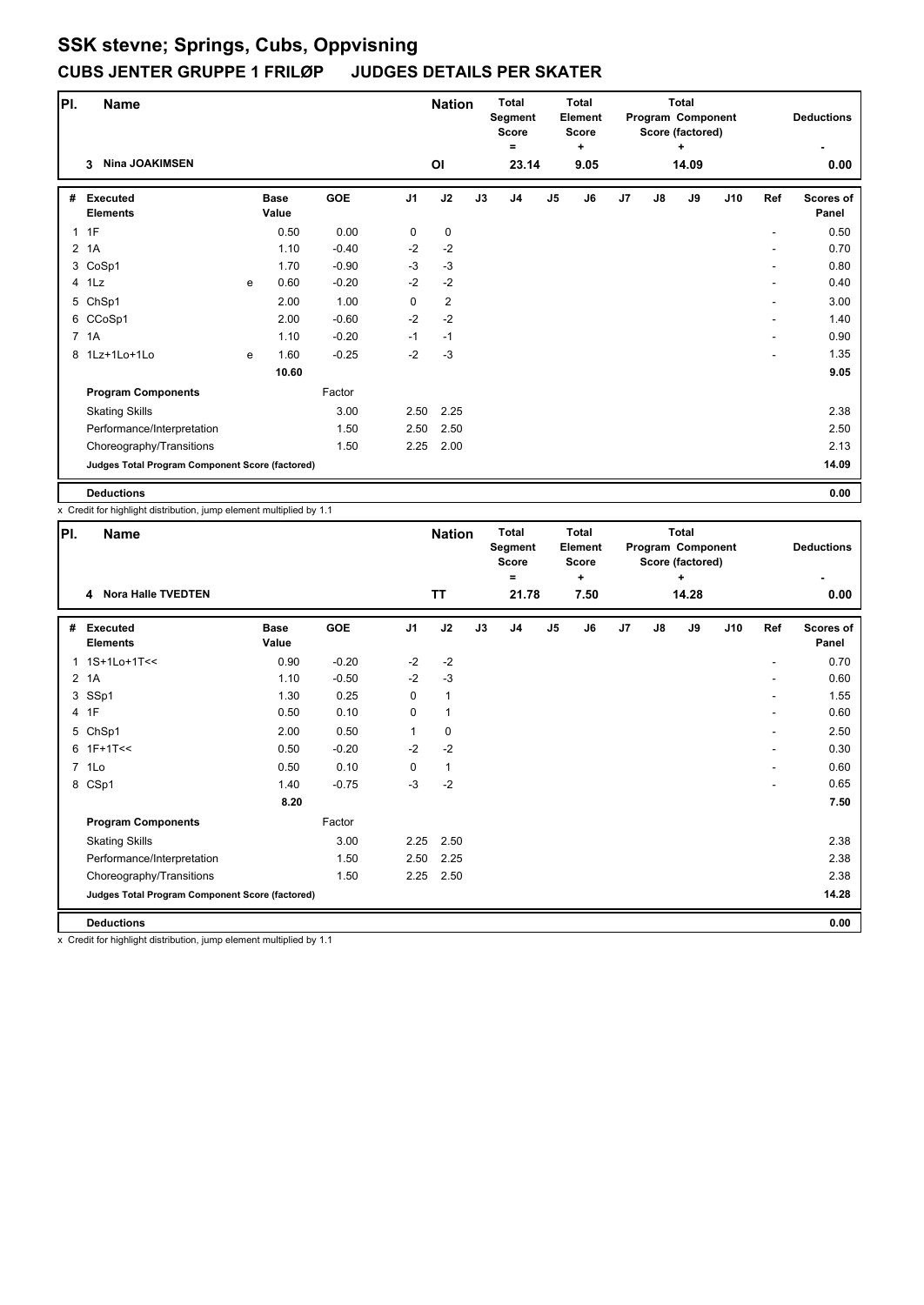| PI.            | <b>Name</b>                                     |   |                      | <b>Nation</b> |                | <b>Total</b><br>Segment<br><b>Score</b><br>$=$ |    | <b>Total</b><br>Element<br><b>Score</b><br>$\ddot{}$ |                |      | Total<br>Program Component<br>Score (factored)<br>٠ |               |       | <b>Deductions</b> |     |                           |
|----------------|-------------------------------------------------|---|----------------------|---------------|----------------|------------------------------------------------|----|------------------------------------------------------|----------------|------|-----------------------------------------------------|---------------|-------|-------------------|-----|---------------------------|
|                | <b>Nina JOAKIMSEN</b><br>3                      |   |                      |               |                | ΟI                                             |    | 23.14                                                |                | 9.05 |                                                     |               | 14.09 |                   |     | 0.00                      |
| #              | <b>Executed</b><br><b>Elements</b>              |   | <b>Base</b><br>Value | GOE           | J <sub>1</sub> | J2                                             | J3 | J4                                                   | J <sub>5</sub> | J6   | J7                                                  | $\mathsf{J}8$ | J9    | J10               | Ref | <b>Scores of</b><br>Panel |
| $\mathbf{1}$   | 1F                                              |   | 0.50                 | 0.00          | 0              | $\mathbf 0$                                    |    |                                                      |                |      |                                                     |               |       |                   |     | 0.50                      |
| $\overline{2}$ | 1A                                              |   | 1.10                 | $-0.40$       | $-2$           | $-2$                                           |    |                                                      |                |      |                                                     |               |       |                   |     | 0.70                      |
|                | 3 CoSp1                                         |   | 1.70                 | $-0.90$       | $-3$           | $-3$                                           |    |                                                      |                |      |                                                     |               |       |                   |     | 0.80                      |
|                | 4 1Lz                                           | e | 0.60                 | $-0.20$       | $-2$           | $-2$                                           |    |                                                      |                |      |                                                     |               |       |                   |     | 0.40                      |
|                | 5 ChSp1                                         |   | 2.00                 | 1.00          | $\mathbf 0$    | $\overline{2}$                                 |    |                                                      |                |      |                                                     |               |       |                   |     | 3.00                      |
|                | 6 CCoSp1                                        |   | 2.00                 | $-0.60$       | $-2$           | $-2$                                           |    |                                                      |                |      |                                                     |               |       |                   |     | 1.40                      |
|                | 7 1A                                            |   | 1.10                 | $-0.20$       | $-1$           | $-1$                                           |    |                                                      |                |      |                                                     |               |       |                   |     | 0.90                      |
|                | 8 1Lz+1Lo+1Lo                                   | e | 1.60                 | $-0.25$       | $-2$           | $-3$                                           |    |                                                      |                |      |                                                     |               |       |                   |     | 1.35                      |
|                |                                                 |   | 10.60                |               |                |                                                |    |                                                      |                |      |                                                     |               |       |                   |     | 9.05                      |
|                | <b>Program Components</b>                       |   |                      | Factor        |                |                                                |    |                                                      |                |      |                                                     |               |       |                   |     |                           |
|                | <b>Skating Skills</b>                           |   |                      | 3.00          | 2.50           | 2.25                                           |    |                                                      |                |      |                                                     |               |       |                   |     | 2.38                      |
|                | Performance/Interpretation                      |   |                      | 1.50          | 2.50           | 2.50                                           |    |                                                      |                |      |                                                     |               |       |                   |     | 2.50                      |
|                | Choreography/Transitions                        |   |                      | 1.50          | 2.25           | 2.00                                           |    |                                                      |                |      |                                                     |               |       |                   |     | 2.13                      |
|                | Judges Total Program Component Score (factored) |   |                      |               |                |                                                |    |                                                      |                |      |                                                     |               |       |                   |     | 14.09                     |
|                | <b>Deductions</b>                               |   |                      |               |                |                                                |    |                                                      |                |      |                                                     |               |       |                   |     | 0.00                      |

x Credit for highlight distribution, jump element multiplied by 1.1

| PI.            | <b>Name</b>                                     |                      |         |                | <b>Nation</b> |    | <b>Total</b><br>Segment<br><b>Score</b><br>Ξ |                | <b>Total</b><br>Element<br><b>Score</b><br>÷ |    |               | <b>Total</b><br>Program Component<br>Score (factored)<br>÷ |     |     | <b>Deductions</b>  |
|----------------|-------------------------------------------------|----------------------|---------|----------------|---------------|----|----------------------------------------------|----------------|----------------------------------------------|----|---------------|------------------------------------------------------------|-----|-----|--------------------|
|                | 4 Nora Halle TVEDTEN                            |                      |         |                | <b>TT</b>     |    | 21.78                                        |                | 7.50                                         |    |               | 14.28                                                      |     |     | 0.00               |
| #              | <b>Executed</b><br><b>Elements</b>              | <b>Base</b><br>Value | GOE     | J <sub>1</sub> | J2            | J3 | J <sub>4</sub>                               | J <sub>5</sub> | J6                                           | J7 | $\mathsf{J}8$ | J9                                                         | J10 | Ref | Scores of<br>Panel |
|                | 1 1S+1Lo+1T<<                                   | 0.90                 | $-0.20$ | $-2$           | $-2$          |    |                                              |                |                                              |    |               |                                                            |     |     | 0.70               |
| $\overline{2}$ | 1A                                              | 1.10                 | $-0.50$ | $-2$           | $-3$          |    |                                              |                |                                              |    |               |                                                            |     |     | 0.60               |
|                | 3 SSp1                                          | 1.30                 | 0.25    | 0              | $\mathbf{1}$  |    |                                              |                |                                              |    |               |                                                            |     |     | 1.55               |
|                | 4 1F                                            | 0.50                 | 0.10    | $\Omega$       | $\mathbf{1}$  |    |                                              |                |                                              |    |               |                                                            |     |     | 0.60               |
|                | 5 ChSp1                                         | 2.00                 | 0.50    | 1              | $\mathbf 0$   |    |                                              |                |                                              |    |               |                                                            |     | ٠   | 2.50               |
|                | $6$ 1F+1T<<                                     | 0.50                 | $-0.20$ | $-2$           | $-2$          |    |                                              |                |                                              |    |               |                                                            |     |     | 0.30               |
|                | 7 1Lo                                           | 0.50                 | 0.10    | 0              | $\mathbf{1}$  |    |                                              |                |                                              |    |               |                                                            |     |     | 0.60               |
|                | 8 CSp1                                          | 1.40                 | $-0.75$ | $-3$           | $-2$          |    |                                              |                |                                              |    |               |                                                            |     |     | 0.65               |
|                |                                                 | 8.20                 |         |                |               |    |                                              |                |                                              |    |               |                                                            |     |     | 7.50               |
|                | <b>Program Components</b>                       |                      | Factor  |                |               |    |                                              |                |                                              |    |               |                                                            |     |     |                    |
|                | <b>Skating Skills</b>                           |                      | 3.00    | 2.25           | 2.50          |    |                                              |                |                                              |    |               |                                                            |     |     | 2.38               |
|                | Performance/Interpretation                      |                      | 1.50    | 2.50           | 2.25          |    |                                              |                |                                              |    |               |                                                            |     |     | 2.38               |
|                | Choreography/Transitions                        |                      | 1.50    | 2.25           | 2.50          |    |                                              |                |                                              |    |               |                                                            |     |     | 2.38               |
|                | Judges Total Program Component Score (factored) |                      |         |                |               |    |                                              |                |                                              |    |               |                                                            |     |     | 14.28              |
|                | <b>Deductions</b>                               |                      |         |                |               |    |                                              |                |                                              |    |               |                                                            |     |     | 0.00               |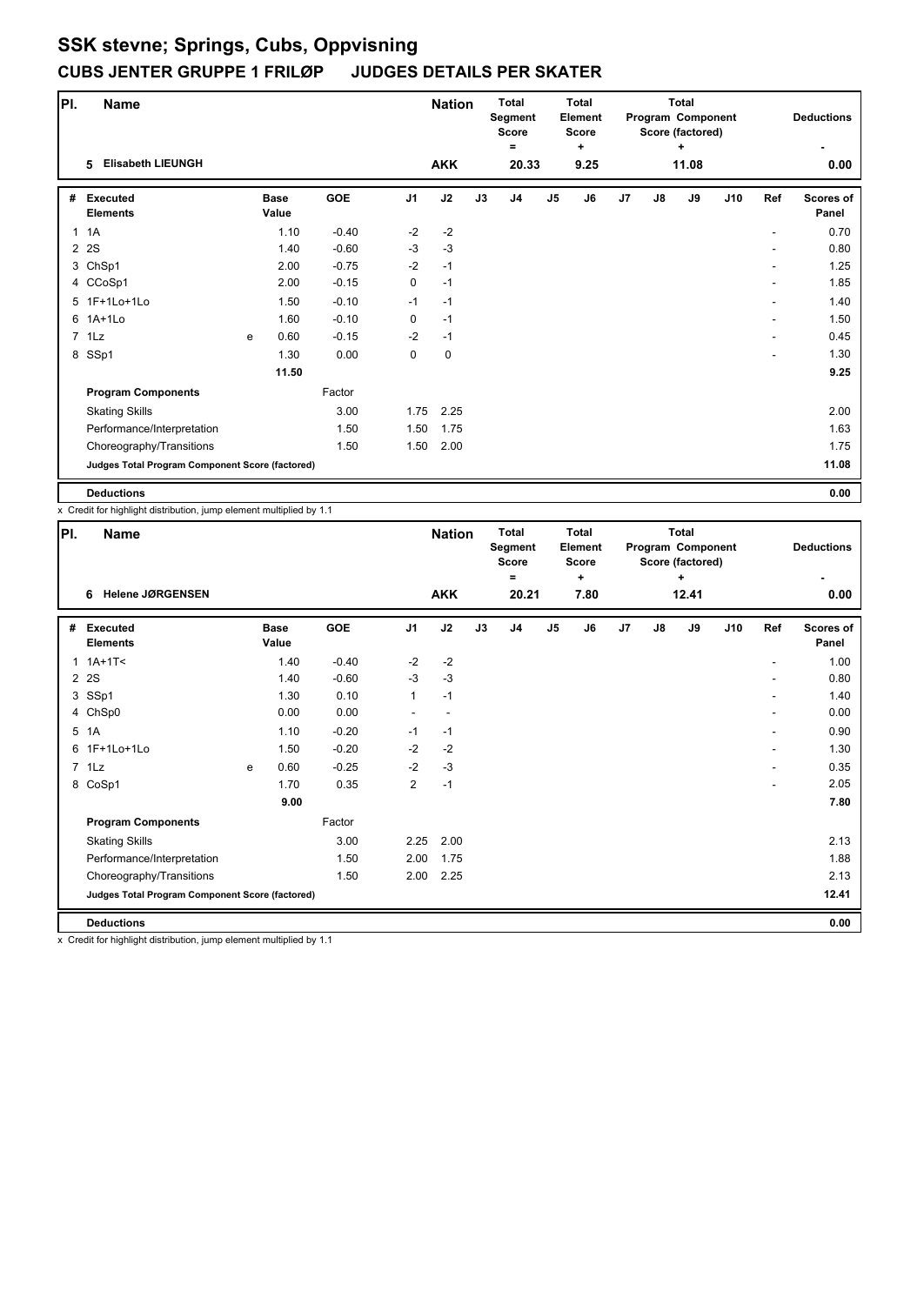| PI.          | <b>Name</b>                                     |   |                      |            |                | <b>Nation</b> |    | <b>Total</b><br>Segment<br><b>Score</b><br>Ξ |                | <b>Total</b><br><b>Element</b><br><b>Score</b><br>÷ |    |               | <b>Total</b><br>Program Component<br>Score (factored)<br>÷ |     |     | <b>Deductions</b>         |
|--------------|-------------------------------------------------|---|----------------------|------------|----------------|---------------|----|----------------------------------------------|----------------|-----------------------------------------------------|----|---------------|------------------------------------------------------------|-----|-----|---------------------------|
|              | <b>Elisabeth LIEUNGH</b><br>5                   |   |                      |            |                | <b>AKK</b>    |    | 20.33                                        |                | 9.25                                                |    |               | 11.08                                                      |     |     | 0.00                      |
| #            | <b>Executed</b><br><b>Elements</b>              |   | <b>Base</b><br>Value | <b>GOE</b> | J <sub>1</sub> | J2            | J3 | J4                                           | J <sub>5</sub> | J6                                                  | J7 | $\mathsf{J}8$ | J9                                                         | J10 | Ref | <b>Scores of</b><br>Panel |
| $\mathbf{1}$ | 1A                                              |   | 1.10                 | $-0.40$    | $-2$           | $-2$          |    |                                              |                |                                                     |    |               |                                                            |     |     | 0.70                      |
|              | 2 2 S                                           |   | 1.40                 | $-0.60$    | $-3$           | $-3$          |    |                                              |                |                                                     |    |               |                                                            |     |     | 0.80                      |
|              | 3 ChSp1                                         |   | 2.00                 | $-0.75$    | $-2$           | $-1$          |    |                                              |                |                                                     |    |               |                                                            |     |     | 1.25                      |
|              | 4 CCoSp1                                        |   | 2.00                 | $-0.15$    | 0              | $-1$          |    |                                              |                |                                                     |    |               |                                                            |     | ٠   | 1.85                      |
|              | 5 1F+1Lo+1Lo                                    |   | 1.50                 | $-0.10$    | $-1$           | $-1$          |    |                                              |                |                                                     |    |               |                                                            |     | ۰   | 1.40                      |
|              | 6 1A+1Lo                                        |   | 1.60                 | $-0.10$    | 0              | $-1$          |    |                                              |                |                                                     |    |               |                                                            |     |     | 1.50                      |
|              | 7 1Lz                                           | e | 0.60                 | $-0.15$    | $-2$           | $-1$          |    |                                              |                |                                                     |    |               |                                                            |     |     | 0.45                      |
|              | 8 SSp1                                          |   | 1.30                 | 0.00       | 0              | 0             |    |                                              |                |                                                     |    |               |                                                            |     | ۰   | 1.30                      |
|              |                                                 |   | 11.50                |            |                |               |    |                                              |                |                                                     |    |               |                                                            |     |     | 9.25                      |
|              | <b>Program Components</b>                       |   |                      | Factor     |                |               |    |                                              |                |                                                     |    |               |                                                            |     |     |                           |
|              | <b>Skating Skills</b>                           |   |                      | 3.00       | 1.75           | 2.25          |    |                                              |                |                                                     |    |               |                                                            |     |     | 2.00                      |
|              | Performance/Interpretation                      |   |                      | 1.50       | 1.50           | 1.75          |    |                                              |                |                                                     |    |               |                                                            |     |     | 1.63                      |
|              | Choreography/Transitions                        |   |                      | 1.50       | 1.50           | 2.00          |    |                                              |                |                                                     |    |               |                                                            |     |     | 1.75                      |
|              | Judges Total Program Component Score (factored) |   |                      |            |                |               |    |                                              |                |                                                     |    |               |                                                            |     |     | 11.08                     |
|              | <b>Deductions</b>                               |   |                      |            |                |               |    |                                              |                |                                                     |    |               |                                                            |     |     | 0.00                      |

x Credit for highlight distribution, jump element multiplied by 1.1

| PI. | Name                                            |   |                      |         |                | <b>Nation</b> |    | <b>Total</b><br>Segment<br><b>Score</b><br>Ξ |                | <b>Total</b><br>Element<br><b>Score</b><br>$\ddot{}$ |    |               | <b>Total</b><br>Program Component<br>Score (factored)<br>÷ |     |     | <b>Deductions</b>  |
|-----|-------------------------------------------------|---|----------------------|---------|----------------|---------------|----|----------------------------------------------|----------------|------------------------------------------------------|----|---------------|------------------------------------------------------------|-----|-----|--------------------|
|     | <b>Helene JØRGENSEN</b><br>6                    |   |                      |         |                | <b>AKK</b>    |    | 20.21                                        |                | 7.80                                                 |    |               | 12.41                                                      |     |     | 0.00               |
|     | # Executed<br><b>Elements</b>                   |   | <b>Base</b><br>Value | GOE     | J <sub>1</sub> | J2            | J3 | J4                                           | J <sub>5</sub> | J6                                                   | J7 | $\mathsf{J}8$ | J9                                                         | J10 | Ref | Scores of<br>Panel |
|     | $1.1A+1T2$                                      |   | 1.40                 | $-0.40$ | $-2$           | $-2$          |    |                                              |                |                                                      |    |               |                                                            |     |     | 1.00               |
|     | 2 2 S                                           |   | 1.40                 | $-0.60$ | $-3$           | $-3$          |    |                                              |                |                                                      |    |               |                                                            |     |     | 0.80               |
|     | 3 SSp1                                          |   | 1.30                 | 0.10    | $\mathbf{1}$   | $-1$          |    |                                              |                |                                                      |    |               |                                                            |     |     | 1.40               |
|     | 4 ChSp0                                         |   | 0.00                 | 0.00    |                |               |    |                                              |                |                                                      |    |               |                                                            |     |     | 0.00               |
| 5   | 1A                                              |   | 1.10                 | $-0.20$ | $-1$           | $-1$          |    |                                              |                |                                                      |    |               |                                                            |     | ٠   | 0.90               |
|     | 6 1F+1Lo+1Lo                                    |   | 1.50                 | $-0.20$ | $-2$           | $-2$          |    |                                              |                |                                                      |    |               |                                                            |     | ۰   | 1.30               |
|     | 7 1Lz                                           | e | 0.60                 | $-0.25$ | $-2$           | $-3$          |    |                                              |                |                                                      |    |               |                                                            |     | ٠   | 0.35               |
|     | 8 CoSp1                                         |   | 1.70                 | 0.35    | $\overline{2}$ | $-1$          |    |                                              |                |                                                      |    |               |                                                            |     |     | 2.05               |
|     |                                                 |   | 9.00                 |         |                |               |    |                                              |                |                                                      |    |               |                                                            |     |     | 7.80               |
|     | <b>Program Components</b>                       |   |                      | Factor  |                |               |    |                                              |                |                                                      |    |               |                                                            |     |     |                    |
|     | <b>Skating Skills</b>                           |   |                      | 3.00    | 2.25           | 2.00          |    |                                              |                |                                                      |    |               |                                                            |     |     | 2.13               |
|     | Performance/Interpretation                      |   |                      | 1.50    | 2.00           | 1.75          |    |                                              |                |                                                      |    |               |                                                            |     |     | 1.88               |
|     | Choreography/Transitions                        |   |                      | 1.50    | 2.00           | 2.25          |    |                                              |                |                                                      |    |               |                                                            |     |     | 2.13               |
|     | Judges Total Program Component Score (factored) |   |                      |         |                |               |    |                                              |                |                                                      |    |               |                                                            |     |     | 12.41              |
|     | <b>Deductions</b>                               |   |                      |         |                |               |    |                                              |                |                                                      |    |               |                                                            |     |     | 0.00               |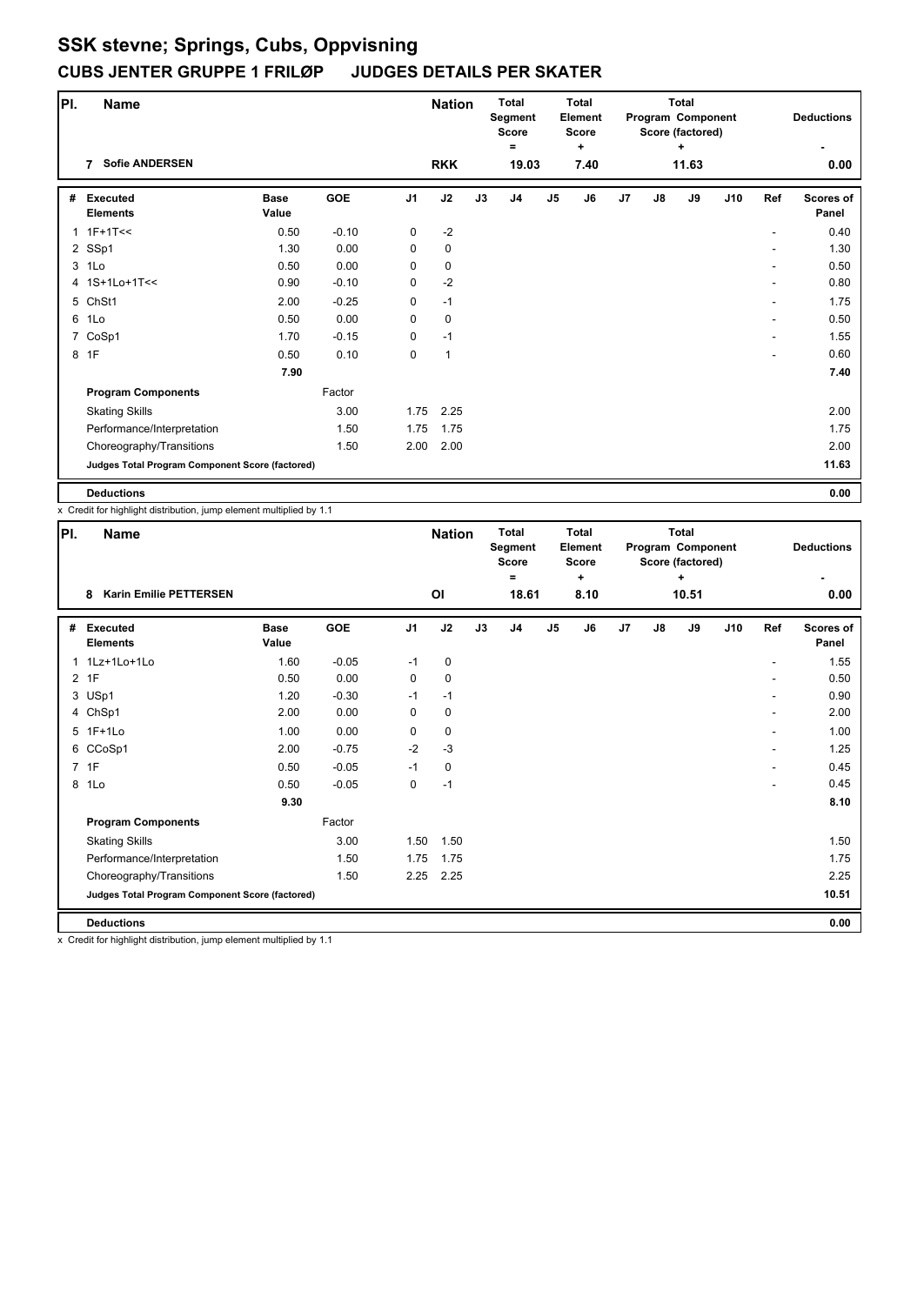| PI. | <b>Name</b>                                     |                      |         |                | <b>Nation</b> |    | <b>Total</b><br>Segment<br>Score |               | <b>Total</b><br><b>Element</b><br><b>Score</b> |    |               | <b>Total</b><br>Program Component<br>Score (factored) |     |     | <b>Deductions</b>         |
|-----|-------------------------------------------------|----------------------|---------|----------------|---------------|----|----------------------------------|---------------|------------------------------------------------|----|---------------|-------------------------------------------------------|-----|-----|---------------------------|
|     | <b>Sofie ANDERSEN</b><br>7                      |                      |         |                | <b>RKK</b>    |    | Ξ<br>19.03                       |               | ÷<br>7.40                                      |    |               | ٠<br>11.63                                            |     |     | 0.00                      |
| #   | <b>Executed</b><br><b>Elements</b>              | <b>Base</b><br>Value | GOE     | J <sub>1</sub> | J2            | J3 | J4                               | $\mathsf{J}5$ | J6                                             | J7 | $\mathsf{J}8$ | J9                                                    | J10 | Ref | <b>Scores of</b><br>Panel |
|     | $1$ 1F+1T <<                                    | 0.50                 | $-0.10$ | 0              | $-2$          |    |                                  |               |                                                |    |               |                                                       |     |     | 0.40                      |
|     | 2 SSp1                                          | 1.30                 | 0.00    | 0              | $\mathbf 0$   |    |                                  |               |                                                |    |               |                                                       |     |     | 1.30                      |
|     | 3 1Lo                                           | 0.50                 | 0.00    | 0              | 0             |    |                                  |               |                                                |    |               |                                                       |     |     | 0.50                      |
|     | 4 1S+1Lo+1T<<                                   | 0.90                 | $-0.10$ | 0              | $-2$          |    |                                  |               |                                                |    |               |                                                       |     |     | 0.80                      |
|     | 5 ChSt1                                         | 2.00                 | $-0.25$ | 0              | $-1$          |    |                                  |               |                                                |    |               |                                                       |     | ۰   | 1.75                      |
|     | 6 1Lo                                           | 0.50                 | 0.00    | 0              | 0             |    |                                  |               |                                                |    |               |                                                       |     |     | 0.50                      |
|     | 7 CoSp1                                         | 1.70                 | $-0.15$ | 0              | $-1$          |    |                                  |               |                                                |    |               |                                                       |     |     | 1.55                      |
|     | 8 1F                                            | 0.50                 | 0.10    | 0              | $\mathbf{1}$  |    |                                  |               |                                                |    |               |                                                       |     | ۰   | 0.60                      |
|     |                                                 | 7.90                 |         |                |               |    |                                  |               |                                                |    |               |                                                       |     |     | 7.40                      |
|     | <b>Program Components</b>                       |                      | Factor  |                |               |    |                                  |               |                                                |    |               |                                                       |     |     |                           |
|     | <b>Skating Skills</b>                           |                      | 3.00    | 1.75           | 2.25          |    |                                  |               |                                                |    |               |                                                       |     |     | 2.00                      |
|     | Performance/Interpretation                      |                      | 1.50    | 1.75           | 1.75          |    |                                  |               |                                                |    |               |                                                       |     |     | 1.75                      |
|     | Choreography/Transitions                        |                      | 1.50    | 2.00           | 2.00          |    |                                  |               |                                                |    |               |                                                       |     |     | 2.00                      |
|     | Judges Total Program Component Score (factored) |                      |         |                |               |    |                                  |               |                                                |    |               |                                                       |     |     | 11.63                     |
|     | <b>Deductions</b>                               |                      |         |                |               |    |                                  |               |                                                |    |               |                                                       |     |     | 0.00                      |

x Credit for highlight distribution, jump element multiplied by 1.1

| PI.          | <b>Name</b>                                     |                      |         |                | <b>Nation</b> |    | <b>Total</b><br>Segment<br><b>Score</b><br>$\equiv$ |                | <b>Total</b><br>Element<br><b>Score</b><br>٠ |    |               | <b>Total</b><br>Program Component<br>Score (factored)<br>÷ |     |                | <b>Deductions</b>         |
|--------------|-------------------------------------------------|----------------------|---------|----------------|---------------|----|-----------------------------------------------------|----------------|----------------------------------------------|----|---------------|------------------------------------------------------------|-----|----------------|---------------------------|
|              | <b>Karin Emilie PETTERSEN</b><br>8              |                      |         |                | ΟI            |    | 18.61                                               |                | 8.10                                         |    |               | 10.51                                                      |     |                | 0.00                      |
| #            | <b>Executed</b><br><b>Elements</b>              | <b>Base</b><br>Value | GOE     | J <sub>1</sub> | J2            | J3 | J <sub>4</sub>                                      | J <sub>5</sub> | J6                                           | J7 | $\mathsf{J}8$ | J9                                                         | J10 | Ref            | <b>Scores of</b><br>Panel |
| $\mathbf{1}$ | 1Lz+1Lo+1Lo                                     | 1.60                 | $-0.05$ | $-1$           | 0             |    |                                                     |                |                                              |    |               |                                                            |     |                | 1.55                      |
|              | 2 1F                                            | 0.50                 | 0.00    | 0              | $\mathbf 0$   |    |                                                     |                |                                              |    |               |                                                            |     |                | 0.50                      |
|              | 3 USp1                                          | 1.20                 | $-0.30$ | $-1$           | $-1$          |    |                                                     |                |                                              |    |               |                                                            |     |                | 0.90                      |
|              | 4 ChSp1                                         | 2.00                 | 0.00    | 0              | 0             |    |                                                     |                |                                              |    |               |                                                            |     | ٠              | 2.00                      |
|              | 5 1F+1Lo                                        | 1.00                 | 0.00    | 0              | $\pmb{0}$     |    |                                                     |                |                                              |    |               |                                                            |     |                | 1.00                      |
|              | 6 CCoSp1                                        | 2.00                 | $-0.75$ | $-2$           | $-3$          |    |                                                     |                |                                              |    |               |                                                            |     | $\overline{a}$ | 1.25                      |
|              | 7 1F                                            | 0.50                 | $-0.05$ | $-1$           | 0             |    |                                                     |                |                                              |    |               |                                                            |     | ٠              | 0.45                      |
|              | 8 1Lo                                           | 0.50                 | $-0.05$ | 0              | $-1$          |    |                                                     |                |                                              |    |               |                                                            |     |                | 0.45                      |
|              |                                                 | 9.30                 |         |                |               |    |                                                     |                |                                              |    |               |                                                            |     |                | 8.10                      |
|              | <b>Program Components</b>                       |                      | Factor  |                |               |    |                                                     |                |                                              |    |               |                                                            |     |                |                           |
|              | <b>Skating Skills</b>                           |                      | 3.00    | 1.50           | 1.50          |    |                                                     |                |                                              |    |               |                                                            |     |                | 1.50                      |
|              | Performance/Interpretation                      |                      | 1.50    | 1.75           | 1.75          |    |                                                     |                |                                              |    |               |                                                            |     |                | 1.75                      |
|              | Choreography/Transitions                        |                      | 1.50    | 2.25           | 2.25          |    |                                                     |                |                                              |    |               |                                                            |     |                | 2.25                      |
|              | Judges Total Program Component Score (factored) |                      |         |                |               |    |                                                     |                |                                              |    |               |                                                            |     |                | 10.51                     |
|              | <b>Deductions</b>                               |                      |         |                |               |    |                                                     |                |                                              |    |               |                                                            |     |                | 0.00                      |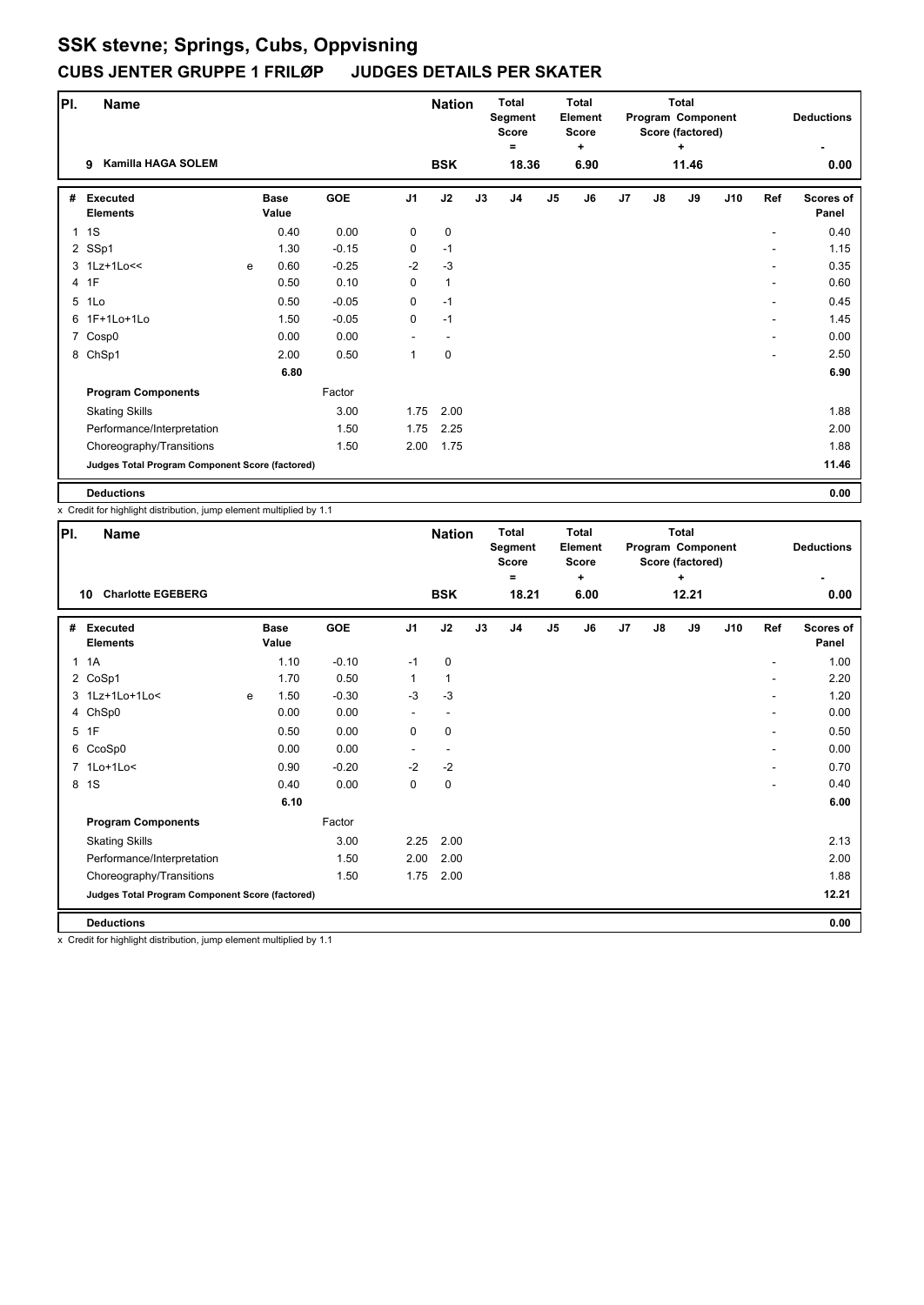| PI.          | <b>Name</b>                                     |   |                      |            |                | <b>Nation</b> |    | <b>Total</b><br>Segment<br><b>Score</b><br>$=$ |               | <b>Total</b><br>Element<br><b>Score</b><br>٠ |    |               | <b>Total</b><br>Program Component<br>Score (factored)<br>٠ |     |     | <b>Deductions</b>         |
|--------------|-------------------------------------------------|---|----------------------|------------|----------------|---------------|----|------------------------------------------------|---------------|----------------------------------------------|----|---------------|------------------------------------------------------------|-----|-----|---------------------------|
|              | <b>Kamilla HAGA SOLEM</b><br>9                  |   |                      |            |                | <b>BSK</b>    |    | 18.36                                          |               | 6.90                                         |    |               | 11.46                                                      |     |     | 0.00                      |
| #            | <b>Executed</b><br><b>Elements</b>              |   | <b>Base</b><br>Value | <b>GOE</b> | J <sub>1</sub> | J2            | J3 | J4                                             | $\mathsf{J}5$ | J6                                           | J7 | $\mathsf{J}8$ | J9                                                         | J10 | Ref | <b>Scores of</b><br>Panel |
| $\mathbf{1}$ | 1S                                              |   | 0.40                 | 0.00       | 0              | $\mathbf 0$   |    |                                                |               |                                              |    |               |                                                            |     |     | 0.40                      |
|              | 2 SSp1                                          |   | 1.30                 | $-0.15$    | $\mathbf 0$    | $-1$          |    |                                                |               |                                              |    |               |                                                            |     |     | 1.15                      |
|              | 3 1Lz+1Lo<<                                     | e | 0.60                 | $-0.25$    | $-2$           | $-3$          |    |                                                |               |                                              |    |               |                                                            |     |     | 0.35                      |
|              | 4 1F                                            |   | 0.50                 | 0.10       | 0              | $\mathbf{1}$  |    |                                                |               |                                              |    |               |                                                            |     | ٠   | 0.60                      |
|              | 5 1Lo                                           |   | 0.50                 | $-0.05$    | 0              | $-1$          |    |                                                |               |                                              |    |               |                                                            |     |     | 0.45                      |
|              | 6 1F+1Lo+1Lo                                    |   | 1.50                 | $-0.05$    | 0              | $-1$          |    |                                                |               |                                              |    |               |                                                            |     |     | 1.45                      |
|              | 7 Cosp0                                         |   | 0.00                 | 0.00       |                |               |    |                                                |               |                                              |    |               |                                                            |     |     | 0.00                      |
|              | 8 ChSp1                                         |   | 2.00                 | 0.50       | 1              | $\mathbf 0$   |    |                                                |               |                                              |    |               |                                                            |     |     | 2.50                      |
|              |                                                 |   | 6.80                 |            |                |               |    |                                                |               |                                              |    |               |                                                            |     |     | 6.90                      |
|              | <b>Program Components</b>                       |   |                      | Factor     |                |               |    |                                                |               |                                              |    |               |                                                            |     |     |                           |
|              | <b>Skating Skills</b>                           |   |                      | 3.00       | 1.75           | 2.00          |    |                                                |               |                                              |    |               |                                                            |     |     | 1.88                      |
|              | Performance/Interpretation                      |   |                      | 1.50       | 1.75           | 2.25          |    |                                                |               |                                              |    |               |                                                            |     |     | 2.00                      |
|              | Choreography/Transitions                        |   |                      | 1.50       | 2.00           | 1.75          |    |                                                |               |                                              |    |               |                                                            |     |     | 1.88                      |
|              | Judges Total Program Component Score (factored) |   |                      |            |                |               |    |                                                |               |                                              |    |               |                                                            |     |     | 11.46                     |
|              | <b>Deductions</b>                               |   |                      |            |                |               |    |                                                |               |                                              |    |               |                                                            |     |     | 0.00                      |

x Credit for highlight distribution, jump element multiplied by 1.1

| PI. | <b>Name</b>                                     |   |                      |         |                | <b>Nation</b> |    | <b>Total</b><br>Segment<br><b>Score</b><br>Ξ |               | <b>Total</b><br>Element<br><b>Score</b><br>÷ |    |               | <b>Total</b><br>Program Component<br>Score (factored)<br>÷ |     |     | <b>Deductions</b>  |
|-----|-------------------------------------------------|---|----------------------|---------|----------------|---------------|----|----------------------------------------------|---------------|----------------------------------------------|----|---------------|------------------------------------------------------------|-----|-----|--------------------|
|     | <b>Charlotte EGEBERG</b><br>10                  |   |                      |         |                | <b>BSK</b>    |    | 18.21                                        |               | 6.00                                         |    |               | 12.21                                                      |     |     | 0.00               |
| #   | <b>Executed</b><br><b>Elements</b>              |   | <b>Base</b><br>Value | GOE     | J <sub>1</sub> | J2            | J3 | J <sub>4</sub>                               | $\mathsf{J}5$ | J6                                           | J7 | $\mathsf{J}8$ | J9                                                         | J10 | Ref | Scores of<br>Panel |
| 1   | 1A                                              |   | 1.10                 | $-0.10$ | $-1$           | $\mathbf 0$   |    |                                              |               |                                              |    |               |                                                            |     |     | 1.00               |
|     | 2 CoSp1                                         |   | 1.70                 | 0.50    | $\mathbf{1}$   | 1             |    |                                              |               |                                              |    |               |                                                            |     | ۰   | 2.20               |
|     | 3 1Lz+1Lo+1Lo<                                  | e | 1.50                 | $-0.30$ | $-3$           | $-3$          |    |                                              |               |                                              |    |               |                                                            |     |     | 1.20               |
|     | 4 ChSp0                                         |   | 0.00                 | 0.00    |                |               |    |                                              |               |                                              |    |               |                                                            |     |     | 0.00               |
| 5   | 1F                                              |   | 0.50                 | 0.00    | 0              | $\mathbf 0$   |    |                                              |               |                                              |    |               |                                                            |     | ۰   | 0.50               |
|     | 6 CcoSp0                                        |   | 0.00                 | 0.00    | $\sim$         |               |    |                                              |               |                                              |    |               |                                                            |     |     | 0.00               |
|     | 7 1Lo+1Lo<                                      |   | 0.90                 | $-0.20$ | $-2$           | $-2$          |    |                                              |               |                                              |    |               |                                                            |     | ٠   | 0.70               |
| 8   | 1S                                              |   | 0.40                 | 0.00    | 0              | $\mathbf 0$   |    |                                              |               |                                              |    |               |                                                            |     |     | 0.40               |
|     |                                                 |   | 6.10                 |         |                |               |    |                                              |               |                                              |    |               |                                                            |     |     | 6.00               |
|     | <b>Program Components</b>                       |   |                      | Factor  |                |               |    |                                              |               |                                              |    |               |                                                            |     |     |                    |
|     | <b>Skating Skills</b>                           |   |                      | 3.00    | 2.25           | 2.00          |    |                                              |               |                                              |    |               |                                                            |     |     | 2.13               |
|     | Performance/Interpretation                      |   |                      | 1.50    | 2.00           | 2.00          |    |                                              |               |                                              |    |               |                                                            |     |     | 2.00               |
|     | Choreography/Transitions                        |   |                      | 1.50    | 1.75           | 2.00          |    |                                              |               |                                              |    |               |                                                            |     |     | 1.88               |
|     | Judges Total Program Component Score (factored) |   |                      |         |                |               |    |                                              |               |                                              |    |               |                                                            |     |     | 12.21              |
|     | <b>Deductions</b>                               |   |                      |         |                |               |    |                                              |               |                                              |    |               |                                                            |     |     | 0.00               |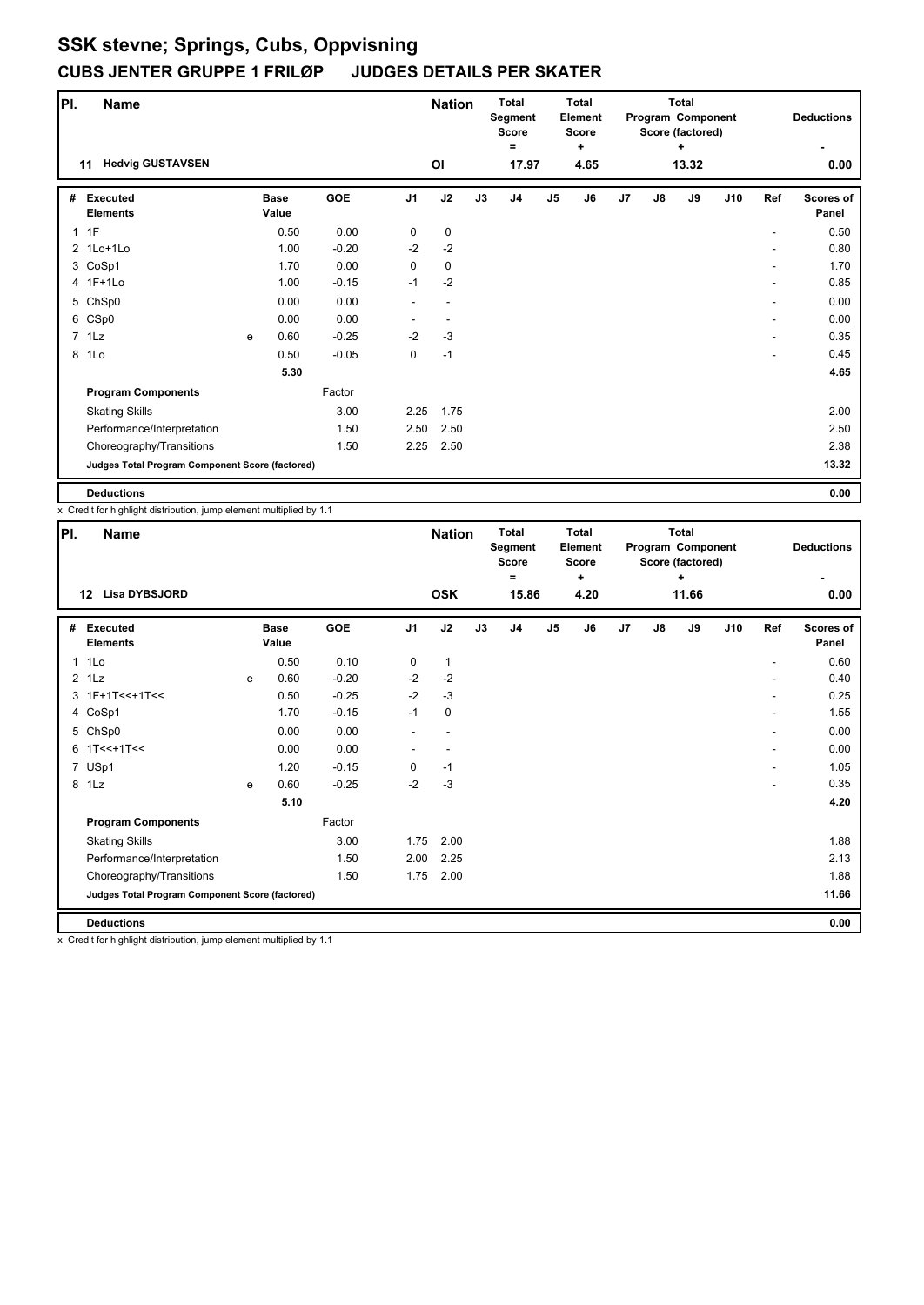| PI. | <b>Name</b>                                     |   |                      |            |                | <b>Nation</b> |    | <b>Total</b><br>Segment<br><b>Score</b> |               | <b>Total</b><br>Element<br><b>Score</b> |    |               | <b>Total</b><br>Program Component<br>Score (factored) |     |     | <b>Deductions</b>         |
|-----|-------------------------------------------------|---|----------------------|------------|----------------|---------------|----|-----------------------------------------|---------------|-----------------------------------------|----|---------------|-------------------------------------------------------|-----|-----|---------------------------|
|     | <b>Hedvig GUSTAVSEN</b><br>11                   |   |                      |            |                | ΟI            |    | $=$<br>17.97                            |               | ٠<br>4.65                               |    |               | ٠<br>13.32                                            |     |     | 0.00                      |
| #   | <b>Executed</b><br><b>Elements</b>              |   | <b>Base</b><br>Value | <b>GOE</b> | J <sub>1</sub> | J2            | J3 | J4                                      | $\mathsf{J}5$ | J6                                      | J7 | $\mathsf{J}8$ | J9                                                    | J10 | Ref | <b>Scores of</b><br>Panel |
|     | $1$ 1F                                          |   | 0.50                 | 0.00       | 0              | $\mathbf 0$   |    |                                         |               |                                         |    |               |                                                       |     |     | 0.50                      |
|     | 2 1Lo+1Lo                                       |   | 1.00                 | $-0.20$    | $-2$           | $-2$          |    |                                         |               |                                         |    |               |                                                       |     |     | 0.80                      |
|     | 3 CoSp1                                         |   | 1.70                 | 0.00       | $\mathbf 0$    | $\mathbf 0$   |    |                                         |               |                                         |    |               |                                                       |     |     | 1.70                      |
|     | 4 1F+1Lo                                        |   | 1.00                 | $-0.15$    | $-1$           | $-2$          |    |                                         |               |                                         |    |               |                                                       |     | ٠   | 0.85                      |
|     | 5 ChSp0                                         |   | 0.00                 | 0.00       |                | ٠             |    |                                         |               |                                         |    |               |                                                       |     |     | 0.00                      |
|     | 6 CSp0                                          |   | 0.00                 | 0.00       |                |               |    |                                         |               |                                         |    |               |                                                       |     |     | 0.00                      |
|     | $7$ 1 Lz                                        | e | 0.60                 | $-0.25$    | $-2$           | $-3$          |    |                                         |               |                                         |    |               |                                                       |     |     | 0.35                      |
| 8   | 1Lo                                             |   | 0.50                 | $-0.05$    | $\mathbf 0$    | $-1$          |    |                                         |               |                                         |    |               |                                                       |     |     | 0.45                      |
|     |                                                 |   | 5.30                 |            |                |               |    |                                         |               |                                         |    |               |                                                       |     |     | 4.65                      |
|     | <b>Program Components</b>                       |   |                      | Factor     |                |               |    |                                         |               |                                         |    |               |                                                       |     |     |                           |
|     | <b>Skating Skills</b>                           |   |                      | 3.00       | 2.25           | 1.75          |    |                                         |               |                                         |    |               |                                                       |     |     | 2.00                      |
|     | Performance/Interpretation                      |   |                      | 1.50       | 2.50           | 2.50          |    |                                         |               |                                         |    |               |                                                       |     |     | 2.50                      |
|     | Choreography/Transitions                        |   |                      | 1.50       | 2.25           | 2.50          |    |                                         |               |                                         |    |               |                                                       |     |     | 2.38                      |
|     | Judges Total Program Component Score (factored) |   |                      |            |                |               |    |                                         |               |                                         |    |               |                                                       |     |     | 13.32                     |
|     | <b>Deductions</b>                               |   |                      |            |                |               |    |                                         |               |                                         |    |               |                                                       |     |     | 0.00                      |

x Credit for highlight distribution, jump element multiplied by 1.1

| PI. | Name                                            |   |                      |         |                | <b>Nation</b>            |    | <b>Total</b><br>Segment<br><b>Score</b><br>$\equiv$ |               | <b>Total</b><br><b>Element</b><br><b>Score</b><br>$\ddot{}$ |    |               | <b>Total</b><br>Program Component<br>Score (factored)<br>÷ |     |     | <b>Deductions</b>         |
|-----|-------------------------------------------------|---|----------------------|---------|----------------|--------------------------|----|-----------------------------------------------------|---------------|-------------------------------------------------------------|----|---------------|------------------------------------------------------------|-----|-----|---------------------------|
|     | <b>Lisa DYBSJORD</b><br>12                      |   |                      |         |                | <b>OSK</b>               |    | 15.86                                               |               | 4.20                                                        |    |               | 11.66                                                      |     |     | 0.00                      |
| #   | Executed<br><b>Elements</b>                     |   | <b>Base</b><br>Value | GOE     | J <sub>1</sub> | J2                       | J3 | J <sub>4</sub>                                      | $\mathsf{J}5$ | J6                                                          | J7 | $\mathsf{J}8$ | J9                                                         | J10 | Ref | <b>Scores of</b><br>Panel |
|     | 1 1Lo                                           |   | 0.50                 | 0.10    | 0              | $\mathbf{1}$             |    |                                                     |               |                                                             |    |               |                                                            |     |     | 0.60                      |
|     | $2$ 1 Lz                                        | e | 0.60                 | $-0.20$ | $-2$           | $-2$                     |    |                                                     |               |                                                             |    |               |                                                            |     | ۰   | 0.40                      |
|     | $3.1F+1T<<+1T<<$                                |   | 0.50                 | $-0.25$ | $-2$           | $-3$                     |    |                                                     |               |                                                             |    |               |                                                            |     |     | 0.25                      |
|     | 4 CoSp1                                         |   | 1.70                 | $-0.15$ | $-1$           | $\mathbf 0$              |    |                                                     |               |                                                             |    |               |                                                            |     | ۰   | 1.55                      |
|     | 5 ChSp0                                         |   | 0.00                 | 0.00    |                | $\overline{\phantom{a}}$ |    |                                                     |               |                                                             |    |               |                                                            |     | ۰   | 0.00                      |
|     | $6$ 1T<<+1T<<                                   |   | 0.00                 | 0.00    |                |                          |    |                                                     |               |                                                             |    |               |                                                            |     | ۰   | 0.00                      |
|     | 7 USp1                                          |   | 1.20                 | $-0.15$ | 0              | $-1$                     |    |                                                     |               |                                                             |    |               |                                                            |     | ۰   | 1.05                      |
|     | 8 1Lz                                           | e | 0.60                 | $-0.25$ | $-2$           | $-3$                     |    |                                                     |               |                                                             |    |               |                                                            |     |     | 0.35                      |
|     |                                                 |   | 5.10                 |         |                |                          |    |                                                     |               |                                                             |    |               |                                                            |     |     | 4.20                      |
|     | <b>Program Components</b>                       |   |                      | Factor  |                |                          |    |                                                     |               |                                                             |    |               |                                                            |     |     |                           |
|     | <b>Skating Skills</b>                           |   |                      | 3.00    | 1.75           | 2.00                     |    |                                                     |               |                                                             |    |               |                                                            |     |     | 1.88                      |
|     | Performance/Interpretation                      |   |                      | 1.50    | 2.00           | 2.25                     |    |                                                     |               |                                                             |    |               |                                                            |     |     | 2.13                      |
|     | Choreography/Transitions                        |   |                      | 1.50    | 1.75           | 2.00                     |    |                                                     |               |                                                             |    |               |                                                            |     |     | 1.88                      |
|     | Judges Total Program Component Score (factored) |   |                      |         |                |                          |    |                                                     |               |                                                             |    |               |                                                            |     |     | 11.66                     |
|     | <b>Deductions</b>                               |   |                      |         |                |                          |    |                                                     |               |                                                             |    |               |                                                            |     |     | 0.00                      |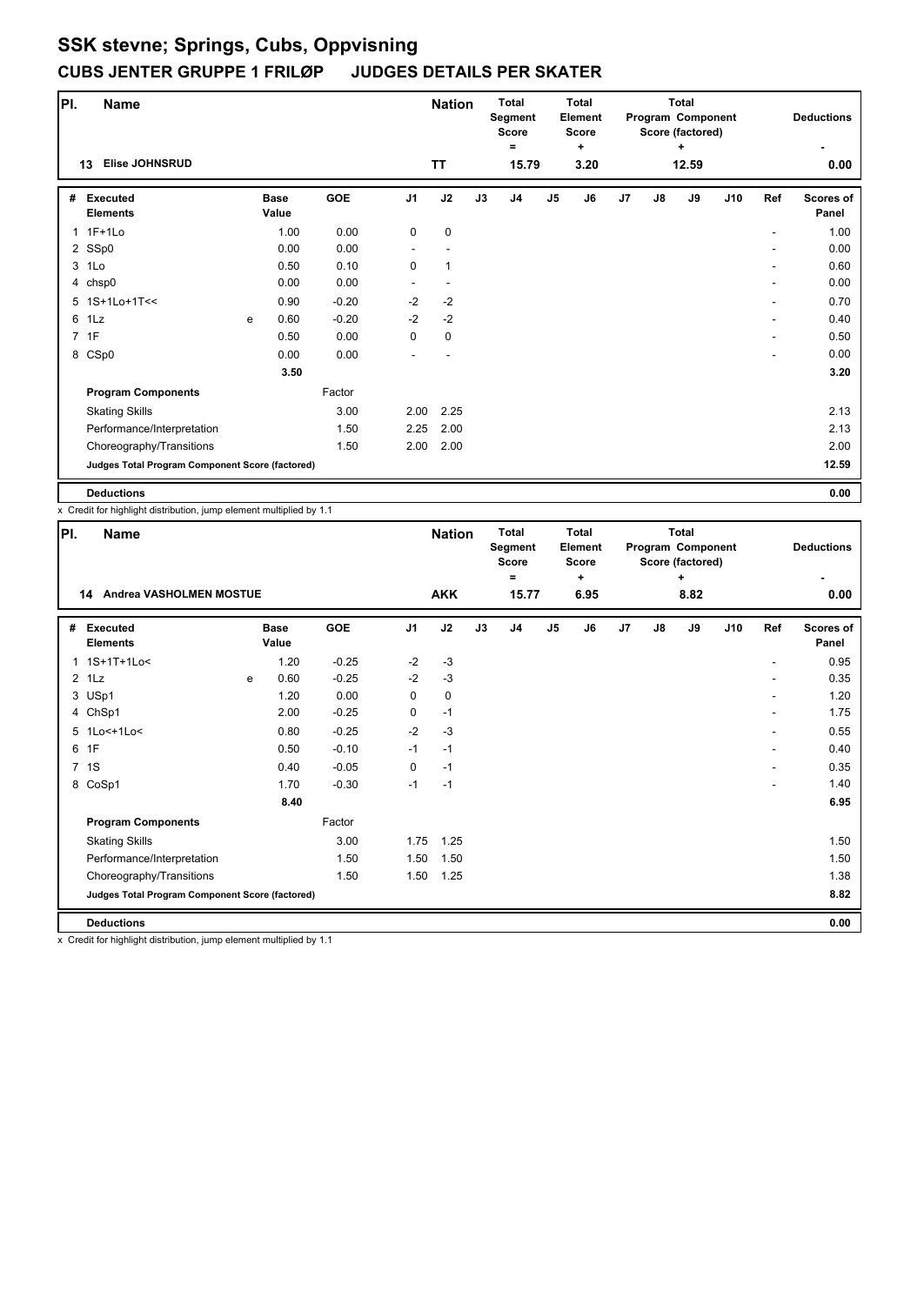| PI. | <b>Name</b>                                     |   |                      |         |                | <b>Nation</b> |    | <b>Total</b><br>Segment<br><b>Score</b><br>Ξ |               | <b>Total</b><br><b>Element</b><br><b>Score</b><br>÷ |    |               | <b>Total</b><br>Program Component<br>Score (factored)<br>÷ |     |     | <b>Deductions</b>         |
|-----|-------------------------------------------------|---|----------------------|---------|----------------|---------------|----|----------------------------------------------|---------------|-----------------------------------------------------|----|---------------|------------------------------------------------------------|-----|-----|---------------------------|
|     | <b>Elise JOHNSRUD</b><br>13                     |   |                      |         |                | <b>TT</b>     |    | 15.79                                        |               | 3.20                                                |    |               | 12.59                                                      |     |     | 0.00                      |
| #   | <b>Executed</b><br><b>Elements</b>              |   | <b>Base</b><br>Value | GOE     | J <sub>1</sub> | J2            | J3 | J4                                           | $\mathsf{J}5$ | J6                                                  | J7 | $\mathsf{J}8$ | J9                                                         | J10 | Ref | <b>Scores of</b><br>Panel |
|     | 1 1F+1Lo                                        |   | 1.00                 | 0.00    | 0              | $\mathbf 0$   |    |                                              |               |                                                     |    |               |                                                            |     |     | 1.00                      |
|     | 2 SSp0                                          |   | 0.00                 | 0.00    |                |               |    |                                              |               |                                                     |    |               |                                                            |     |     | 0.00                      |
|     | 3 1Lo                                           |   | 0.50                 | 0.10    | 0              | $\mathbf{1}$  |    |                                              |               |                                                     |    |               |                                                            |     |     | 0.60                      |
|     | 4 chsp0                                         |   | 0.00                 | 0.00    |                |               |    |                                              |               |                                                     |    |               |                                                            |     | ۰   | 0.00                      |
|     | 5 1S+1Lo+1T<<                                   |   | 0.90                 | $-0.20$ | $-2$           | $-2$          |    |                                              |               |                                                     |    |               |                                                            |     | ۰   | 0.70                      |
|     | 6 1Lz                                           | e | 0.60                 | $-0.20$ | $-2$           | $-2$          |    |                                              |               |                                                     |    |               |                                                            |     |     | 0.40                      |
|     | 7 1F                                            |   | 0.50                 | 0.00    | 0              | $\mathbf 0$   |    |                                              |               |                                                     |    |               |                                                            |     |     | 0.50                      |
|     | 8 CSp0                                          |   | 0.00                 | 0.00    |                |               |    |                                              |               |                                                     |    |               |                                                            |     | ۰   | 0.00                      |
|     |                                                 |   | 3.50                 |         |                |               |    |                                              |               |                                                     |    |               |                                                            |     |     | 3.20                      |
|     | <b>Program Components</b>                       |   |                      | Factor  |                |               |    |                                              |               |                                                     |    |               |                                                            |     |     |                           |
|     | <b>Skating Skills</b>                           |   |                      | 3.00    | 2.00           | 2.25          |    |                                              |               |                                                     |    |               |                                                            |     |     | 2.13                      |
|     | Performance/Interpretation                      |   |                      | 1.50    | 2.25           | 2.00          |    |                                              |               |                                                     |    |               |                                                            |     |     | 2.13                      |
|     | Choreography/Transitions                        |   |                      | 1.50    | 2.00           | 2.00          |    |                                              |               |                                                     |    |               |                                                            |     |     | 2.00                      |
|     | Judges Total Program Component Score (factored) |   |                      |         |                |               |    |                                              |               |                                                     |    |               |                                                            |     |     | 12.59                     |
|     | <b>Deductions</b>                               |   |                      |         |                |               |    |                                              |               |                                                     |    |               |                                                            |     |     | 0.00                      |

x Credit for highlight distribution, jump element multiplied by 1.1

| PI. | <b>Name</b>                                     |   |                      | <b>Nation</b> |                | Total<br>Segment<br><b>Score</b><br>$\equiv$ |    | Total<br>Element<br><b>Score</b><br>٠ |                |      | Total<br>Program Component<br>Score (factored)<br>÷ |               |      | <b>Deductions</b> |     |                           |
|-----|-------------------------------------------------|---|----------------------|---------------|----------------|----------------------------------------------|----|---------------------------------------|----------------|------|-----------------------------------------------------|---------------|------|-------------------|-----|---------------------------|
|     | Andrea VASHOLMEN MOSTUE<br>14                   |   |                      |               |                | <b>AKK</b>                                   |    | 15.77                                 |                | 6.95 |                                                     |               | 8.82 |                   |     | 0.00                      |
| #   | <b>Executed</b><br><b>Elements</b>              |   | <b>Base</b><br>Value | GOE           | J <sub>1</sub> | J2                                           | J3 | J <sub>4</sub>                        | J <sub>5</sub> | J6   | J7                                                  | $\mathsf{J}8$ | J9   | J10               | Ref | <b>Scores of</b><br>Panel |
|     | 1 1S+1T+1Lo<                                    |   | 1.20                 | $-0.25$       | $-2$           | $-3$                                         |    |                                       |                |      |                                                     |               |      |                   |     | 0.95                      |
|     | $2$ 1 Lz                                        | e | 0.60                 | $-0.25$       | $-2$           | $-3$                                         |    |                                       |                |      |                                                     |               |      |                   |     | 0.35                      |
|     | 3 USp1                                          |   | 1.20                 | 0.00          | 0              | 0                                            |    |                                       |                |      |                                                     |               |      |                   |     | 1.20                      |
|     | 4 ChSp1                                         |   | 2.00                 | $-0.25$       | 0              | $-1$                                         |    |                                       |                |      |                                                     |               |      |                   |     | 1.75                      |
|     | 5 1Lo<+1Lo<                                     |   | 0.80                 | $-0.25$       | $-2$           | $-3$                                         |    |                                       |                |      |                                                     |               |      |                   | ٠   | 0.55                      |
| 6   | 1F                                              |   | 0.50                 | $-0.10$       | $-1$           | $-1$                                         |    |                                       |                |      |                                                     |               |      |                   |     | 0.40                      |
|     | 7 1S                                            |   | 0.40                 | $-0.05$       | 0              | $-1$                                         |    |                                       |                |      |                                                     |               |      |                   | ٠   | 0.35                      |
|     | 8 CoSp1                                         |   | 1.70                 | $-0.30$       | $-1$           | $-1$                                         |    |                                       |                |      |                                                     |               |      |                   |     | 1.40                      |
|     |                                                 |   | 8.40                 |               |                |                                              |    |                                       |                |      |                                                     |               |      |                   |     | 6.95                      |
|     | <b>Program Components</b>                       |   |                      | Factor        |                |                                              |    |                                       |                |      |                                                     |               |      |                   |     |                           |
|     | <b>Skating Skills</b>                           |   |                      | 3.00          | 1.75           | 1.25                                         |    |                                       |                |      |                                                     |               |      |                   |     | 1.50                      |
|     | Performance/Interpretation                      |   |                      | 1.50          | 1.50           | 1.50                                         |    |                                       |                |      |                                                     |               |      |                   |     | 1.50                      |
|     | Choreography/Transitions                        |   |                      | 1.50          | 1.50           | 1.25                                         |    |                                       |                |      |                                                     |               |      |                   |     | 1.38                      |
|     | Judges Total Program Component Score (factored) |   |                      |               |                |                                              |    |                                       |                |      |                                                     |               |      |                   |     | 8.82                      |
|     | <b>Deductions</b>                               |   |                      |               |                |                                              |    |                                       |                |      |                                                     |               |      |                   |     | 0.00                      |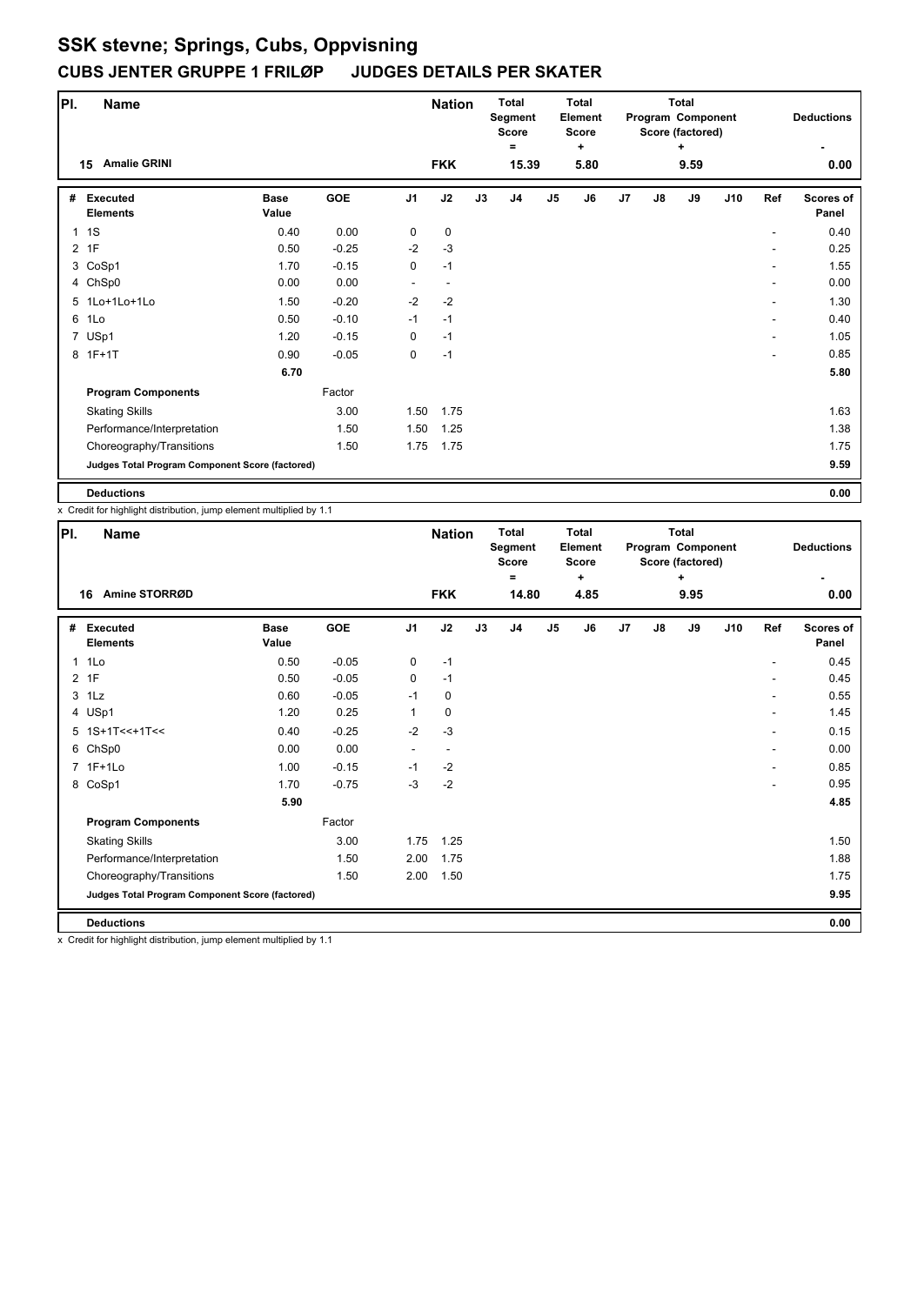| PI.            | <b>Name</b>                                     |                      |         |                | <b>Nation</b> |    | <b>Total</b><br>Segment<br>Score<br>Ξ. |                | <b>Total</b><br>Element<br><b>Score</b> |    |               | <b>Total</b><br>Program Component<br>Score (factored) |     |     | <b>Deductions</b>         |
|----------------|-------------------------------------------------|----------------------|---------|----------------|---------------|----|----------------------------------------|----------------|-----------------------------------------|----|---------------|-------------------------------------------------------|-----|-----|---------------------------|
|                | <b>Amalie GRINI</b><br>15                       |                      |         |                | <b>FKK</b>    |    | 15.39                                  |                | ٠<br>5.80                               |    |               | ٠<br>9.59                                             |     |     | 0.00                      |
| #              | <b>Executed</b><br><b>Elements</b>              | <b>Base</b><br>Value | GOE     | J <sub>1</sub> | J2            | J3 | J4                                     | J <sub>5</sub> | J6                                      | J7 | $\mathsf{J}8$ | J9                                                    | J10 | Ref | <b>Scores of</b><br>Panel |
|                | 1 <sub>1</sub>                                  | 0.40                 | 0.00    | 0              | $\pmb{0}$     |    |                                        |                |                                         |    |               |                                                       |     |     | 0.40                      |
| $\overline{2}$ | 1F                                              | 0.50                 | $-0.25$ | $-2$           | $-3$          |    |                                        |                |                                         |    |               |                                                       |     |     | 0.25                      |
|                | 3 CoSp1                                         | 1.70                 | $-0.15$ | 0              | $-1$          |    |                                        |                |                                         |    |               |                                                       |     | ۰   | 1.55                      |
|                | 4 ChSp0                                         | 0.00                 | 0.00    | ۰              | ٠             |    |                                        |                |                                         |    |               |                                                       |     | ۰   | 0.00                      |
|                | 5 1Lo+1Lo+1Lo                                   | 1.50                 | $-0.20$ | $-2$           | $-2$          |    |                                        |                |                                         |    |               |                                                       |     | ۰   | 1.30                      |
| 6              | 1Lo                                             | 0.50                 | $-0.10$ | $-1$           | $-1$          |    |                                        |                |                                         |    |               |                                                       |     |     | 0.40                      |
|                | 7 USp1                                          | 1.20                 | $-0.15$ | 0              | $-1$          |    |                                        |                |                                         |    |               |                                                       |     | ۰   | 1.05                      |
|                | 8 1F+1T                                         | 0.90                 | $-0.05$ | 0              | $-1$          |    |                                        |                |                                         |    |               |                                                       |     | ۰   | 0.85                      |
|                |                                                 | 6.70                 |         |                |               |    |                                        |                |                                         |    |               |                                                       |     |     | 5.80                      |
|                | <b>Program Components</b>                       |                      | Factor  |                |               |    |                                        |                |                                         |    |               |                                                       |     |     |                           |
|                | <b>Skating Skills</b>                           |                      | 3.00    | 1.50           | 1.75          |    |                                        |                |                                         |    |               |                                                       |     |     | 1.63                      |
|                | Performance/Interpretation                      |                      | 1.50    | 1.50           | 1.25          |    |                                        |                |                                         |    |               |                                                       |     |     | 1.38                      |
|                | Choreography/Transitions                        |                      | 1.50    | 1.75           | 1.75          |    |                                        |                |                                         |    |               |                                                       |     |     | 1.75                      |
|                | Judges Total Program Component Score (factored) |                      |         |                |               |    |                                        |                |                                         |    |               |                                                       |     |     | 9.59                      |
|                | <b>Deductions</b>                               |                      |         |                |               |    |                                        |                |                                         |    |               |                                                       |     |     | 0.00                      |

x Credit for highlight distribution, jump element multiplied by 1.1

| PI. | <b>Name</b>                                     |                      |         |                | <b>Nation</b> |    | <b>Total</b><br>Segment<br><b>Score</b><br>Ξ |               | <b>Total</b><br>Element<br><b>Score</b><br>÷ |    |               | <b>Total</b><br>Program Component<br>Score (factored)<br>÷ |     |                | <b>Deductions</b>  |
|-----|-------------------------------------------------|----------------------|---------|----------------|---------------|----|----------------------------------------------|---------------|----------------------------------------------|----|---------------|------------------------------------------------------------|-----|----------------|--------------------|
|     | Amine STORRØD<br>16                             |                      |         |                | <b>FKK</b>    |    | 14.80                                        |               | 4.85                                         |    |               | 9.95                                                       |     |                | 0.00               |
| #   | <b>Executed</b><br><b>Elements</b>              | <b>Base</b><br>Value | GOE     | J <sub>1</sub> | J2            | J3 | J <sub>4</sub>                               | $\mathsf{J}5$ | J6                                           | J7 | $\mathsf{J}8$ | J9                                                         | J10 | Ref            | Scores of<br>Panel |
|     | 1 1Lo                                           | 0.50                 | $-0.05$ | 0              | $-1$          |    |                                              |               |                                              |    |               |                                                            |     | $\overline{a}$ | 0.45               |
|     | 2 1F                                            | 0.50                 | $-0.05$ | 0              | $-1$          |    |                                              |               |                                              |    |               |                                                            |     | ٠              | 0.45               |
|     | $3$ 1 Lz                                        | 0.60                 | $-0.05$ | $-1$           | 0             |    |                                              |               |                                              |    |               |                                                            |     |                | 0.55               |
|     | 4 USp1                                          | 1.20                 | 0.25    | 1              | 0             |    |                                              |               |                                              |    |               |                                                            |     | ٠              | 1.45               |
|     | $5$ 1S+1T<<+1T<<                                | 0.40                 | $-0.25$ | $-2$           | $-3$          |    |                                              |               |                                              |    |               |                                                            |     |                | 0.15               |
|     | 6 ChSp0                                         | 0.00                 | 0.00    | ٠              |               |    |                                              |               |                                              |    |               |                                                            |     |                | 0.00               |
|     | 7 1F+1Lo                                        | 1.00                 | $-0.15$ | $-1$           | $-2$          |    |                                              |               |                                              |    |               |                                                            |     | ٠              | 0.85               |
|     | 8 CoSp1                                         | 1.70                 | $-0.75$ | $-3$           | $-2$          |    |                                              |               |                                              |    |               |                                                            |     |                | 0.95               |
|     |                                                 | 5.90                 |         |                |               |    |                                              |               |                                              |    |               |                                                            |     |                | 4.85               |
|     | <b>Program Components</b>                       |                      | Factor  |                |               |    |                                              |               |                                              |    |               |                                                            |     |                |                    |
|     | <b>Skating Skills</b>                           |                      | 3.00    | 1.75           | 1.25          |    |                                              |               |                                              |    |               |                                                            |     |                | 1.50               |
|     | Performance/Interpretation                      |                      | 1.50    | 2.00           | 1.75          |    |                                              |               |                                              |    |               |                                                            |     |                | 1.88               |
|     | Choreography/Transitions                        |                      | 1.50    | 2.00           | 1.50          |    |                                              |               |                                              |    |               |                                                            |     |                | 1.75               |
|     | Judges Total Program Component Score (factored) |                      |         |                |               |    |                                              |               |                                              |    |               |                                                            |     |                | 9.95               |
|     | <b>Deductions</b>                               |                      |         |                |               |    |                                              |               |                                              |    |               |                                                            |     |                | 0.00               |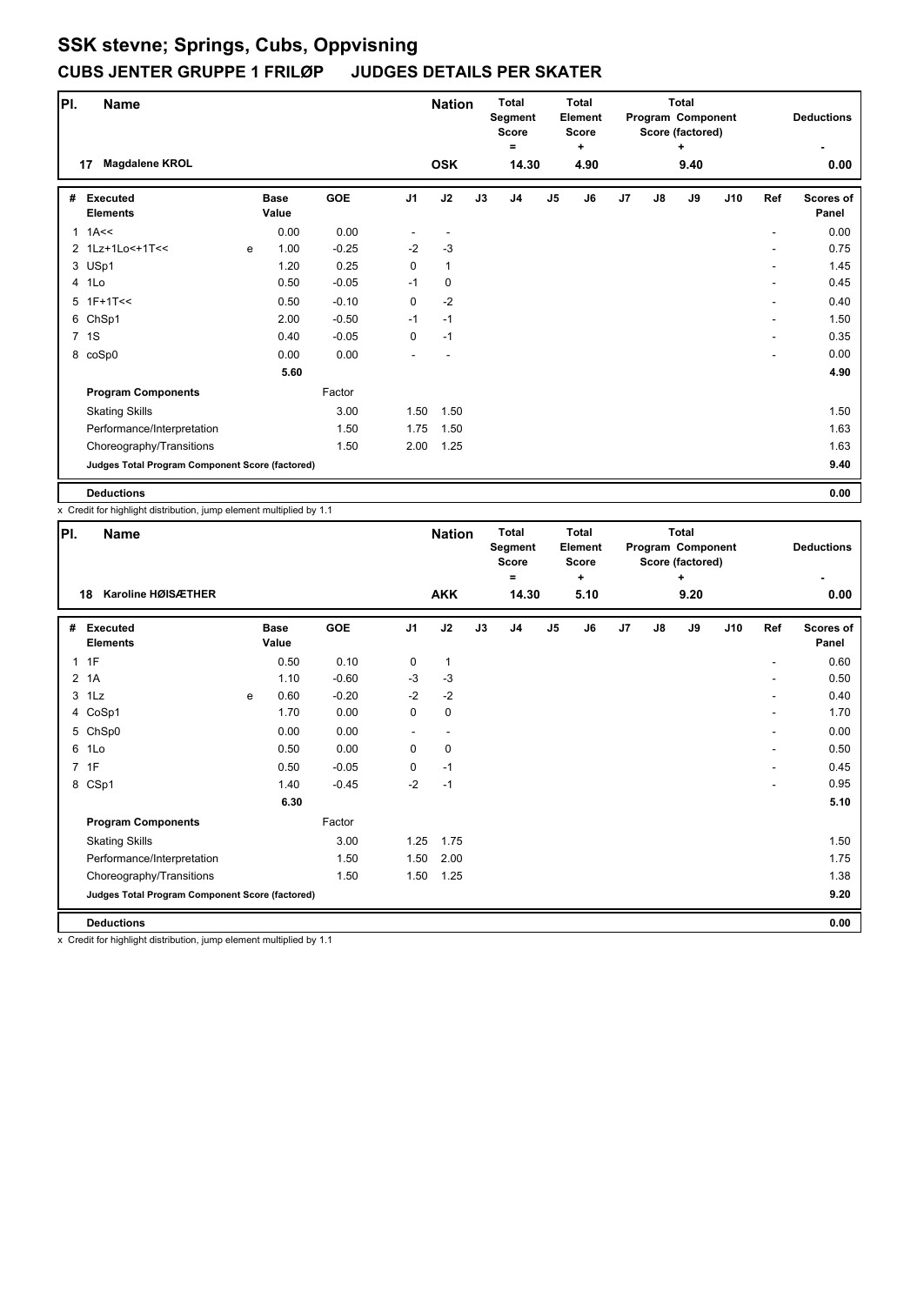| PI. | <b>Name</b>                                     |   |                      |         |                | <b>Nation</b> |    | <b>Total</b><br>Segment<br>Score<br>Ξ |               | <b>Total</b><br>Element<br><b>Score</b><br>÷ |    |               | <b>Total</b><br>Program Component<br>Score (factored) |     |     | <b>Deductions</b>         |
|-----|-------------------------------------------------|---|----------------------|---------|----------------|---------------|----|---------------------------------------|---------------|----------------------------------------------|----|---------------|-------------------------------------------------------|-----|-----|---------------------------|
|     | <b>Magdalene KROL</b><br>17                     |   |                      |         |                | <b>OSK</b>    |    | 14.30                                 |               | 4.90                                         |    |               | ٠<br>9.40                                             |     |     | 0.00                      |
| #   | <b>Executed</b><br><b>Elements</b>              |   | <b>Base</b><br>Value | GOE     | J <sub>1</sub> | J2            | J3 | J4                                    | $\mathsf{J}5$ | J6                                           | J7 | $\mathsf{J}8$ | J9                                                    | J10 | Ref | <b>Scores of</b><br>Panel |
|     | $1$ 1A $\leq$                                   |   | 0.00                 | 0.00    |                |               |    |                                       |               |                                              |    |               |                                                       |     |     | 0.00                      |
|     | 2 1Lz+1Lo<+1T<<                                 | e | 1.00                 | $-0.25$ | $-2$           | $-3$          |    |                                       |               |                                              |    |               |                                                       |     |     | 0.75                      |
|     | 3 USp1                                          |   | 1.20                 | 0.25    | 0              | $\mathbf{1}$  |    |                                       |               |                                              |    |               |                                                       |     |     | 1.45                      |
|     | 4 1Lo                                           |   | 0.50                 | $-0.05$ | -1             | $\mathbf 0$   |    |                                       |               |                                              |    |               |                                                       |     |     | 0.45                      |
|     | $5$ 1F+1T<<                                     |   | 0.50                 | $-0.10$ | 0              | $-2$          |    |                                       |               |                                              |    |               |                                                       |     | ۰   | 0.40                      |
|     | 6 ChSp1                                         |   | 2.00                 | $-0.50$ | $-1$           | $-1$          |    |                                       |               |                                              |    |               |                                                       |     |     | 1.50                      |
|     | 7 1S                                            |   | 0.40                 | $-0.05$ | 0              | $-1$          |    |                                       |               |                                              |    |               |                                                       |     |     | 0.35                      |
|     | 8 coSp0                                         |   | 0.00                 | 0.00    |                |               |    |                                       |               |                                              |    |               |                                                       |     | ۰   | 0.00                      |
|     |                                                 |   | 5.60                 |         |                |               |    |                                       |               |                                              |    |               |                                                       |     |     | 4.90                      |
|     | <b>Program Components</b>                       |   |                      | Factor  |                |               |    |                                       |               |                                              |    |               |                                                       |     |     |                           |
|     | <b>Skating Skills</b>                           |   |                      | 3.00    | 1.50           | 1.50          |    |                                       |               |                                              |    |               |                                                       |     |     | 1.50                      |
|     | Performance/Interpretation                      |   |                      | 1.50    | 1.75           | 1.50          |    |                                       |               |                                              |    |               |                                                       |     |     | 1.63                      |
|     | Choreography/Transitions                        |   |                      | 1.50    | 2.00           | 1.25          |    |                                       |               |                                              |    |               |                                                       |     |     | 1.63                      |
|     | Judges Total Program Component Score (factored) |   |                      |         |                |               |    |                                       |               |                                              |    |               |                                                       |     |     | 9.40                      |
|     | <b>Deductions</b>                               |   |                      |         |                |               |    |                                       |               |                                              |    |               |                                                       |     |     | 0.00                      |

x Credit for highlight distribution, jump element multiplied by 1.1

| PI.            | <b>Name</b>                                     |   |                      |         |                | <b>Nation</b> |    | <b>Total</b><br>Segment<br><b>Score</b><br>$\equiv$ |                | Total<br>Element<br><b>Score</b><br>٠ |    |               | <b>Total</b><br>Program Component<br>Score (factored)<br>÷ |     |     | <b>Deductions</b>         |
|----------------|-------------------------------------------------|---|----------------------|---------|----------------|---------------|----|-----------------------------------------------------|----------------|---------------------------------------|----|---------------|------------------------------------------------------------|-----|-----|---------------------------|
|                | Karoline HØISÆTHER<br>18                        |   |                      |         |                | <b>AKK</b>    |    | 14.30                                               |                | 5.10                                  |    |               | 9.20                                                       |     |     | 0.00                      |
| #              | Executed<br><b>Elements</b>                     |   | <b>Base</b><br>Value | GOE     | J <sub>1</sub> | J2            | J3 | J <sub>4</sub>                                      | J <sub>5</sub> | J6                                    | J7 | $\mathsf{J}8$ | J9                                                         | J10 | Ref | <b>Scores of</b><br>Panel |
|                | 1F                                              |   | 0.50                 | 0.10    | 0              | $\mathbf{1}$  |    |                                                     |                |                                       |    |               |                                                            |     |     | 0.60                      |
| $\overline{2}$ | 1A                                              |   | 1.10                 | $-0.60$ | $-3$           | $-3$          |    |                                                     |                |                                       |    |               |                                                            |     |     | 0.50                      |
|                | $3$ 1 Lz                                        | e | 0.60                 | $-0.20$ | $-2$           | $-2$          |    |                                                     |                |                                       |    |               |                                                            |     |     | 0.40                      |
|                | 4 CoSp1                                         |   | 1.70                 | 0.00    | 0              | 0             |    |                                                     |                |                                       |    |               |                                                            |     |     | 1.70                      |
|                | 5 ChSp0                                         |   | 0.00                 | 0.00    |                | ۰             |    |                                                     |                |                                       |    |               |                                                            |     | ٠   | 0.00                      |
| 6              | 1Lo                                             |   | 0.50                 | 0.00    | 0              | 0             |    |                                                     |                |                                       |    |               |                                                            |     |     | 0.50                      |
| $\overline{7}$ | 1F                                              |   | 0.50                 | $-0.05$ | 0              | $-1$          |    |                                                     |                |                                       |    |               |                                                            |     | ٠   | 0.45                      |
|                | 8 CSp1                                          |   | 1.40                 | $-0.45$ | $-2$           | $-1$          |    |                                                     |                |                                       |    |               |                                                            |     |     | 0.95                      |
|                |                                                 |   | 6.30                 |         |                |               |    |                                                     |                |                                       |    |               |                                                            |     |     | 5.10                      |
|                | <b>Program Components</b>                       |   |                      | Factor  |                |               |    |                                                     |                |                                       |    |               |                                                            |     |     |                           |
|                | <b>Skating Skills</b>                           |   |                      | 3.00    | 1.25           | 1.75          |    |                                                     |                |                                       |    |               |                                                            |     |     | 1.50                      |
|                | Performance/Interpretation                      |   |                      | 1.50    | 1.50           | 2.00          |    |                                                     |                |                                       |    |               |                                                            |     |     | 1.75                      |
|                | Choreography/Transitions                        |   |                      | 1.50    | 1.50           | 1.25          |    |                                                     |                |                                       |    |               |                                                            |     |     | 1.38                      |
|                | Judges Total Program Component Score (factored) |   |                      |         |                |               |    |                                                     |                |                                       |    |               |                                                            |     |     | 9.20                      |
|                | <b>Deductions</b>                               |   |                      |         |                |               |    |                                                     |                |                                       |    |               |                                                            |     |     | 0.00                      |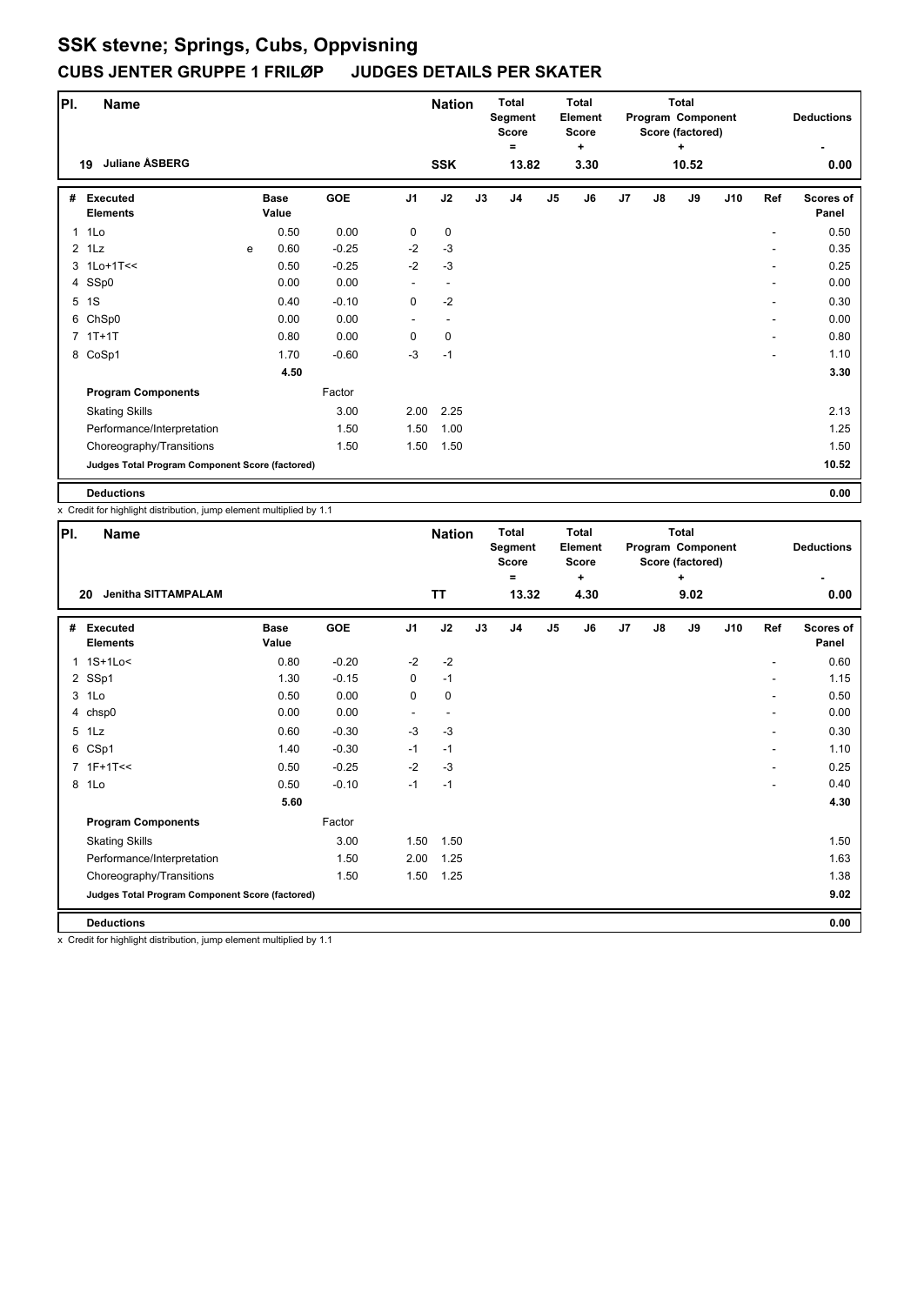| PI.          | <b>Name</b>                                     |   |                      |         |                | <b>Nation</b>            |    | <b>Total</b><br>Segment<br>Score<br>Ξ |               | <b>Total</b><br><b>Element</b><br><b>Score</b><br>÷ |    |               | <b>Total</b><br>Program Component<br>Score (factored)<br>÷ |     |     | <b>Deductions</b>         |
|--------------|-------------------------------------------------|---|----------------------|---------|----------------|--------------------------|----|---------------------------------------|---------------|-----------------------------------------------------|----|---------------|------------------------------------------------------------|-----|-----|---------------------------|
|              | <b>Juliane ASBERG</b><br>19                     |   |                      |         |                | <b>SSK</b>               |    | 13.82                                 |               | 3.30                                                |    |               | 10.52                                                      |     |     | 0.00                      |
| #            | <b>Executed</b><br><b>Elements</b>              |   | <b>Base</b><br>Value | GOE     | J <sub>1</sub> | J2                       | J3 | J4                                    | $\mathsf{J}5$ | J6                                                  | J7 | $\mathsf{J}8$ | J9                                                         | J10 | Ref | <b>Scores of</b><br>Panel |
| $\mathbf{1}$ | 1Lo                                             |   | 0.50                 | 0.00    | 0              | 0                        |    |                                       |               |                                                     |    |               |                                                            |     |     | 0.50                      |
|              | $2$ 1 Lz                                        | e | 0.60                 | $-0.25$ | $-2$           | $-3$                     |    |                                       |               |                                                     |    |               |                                                            |     |     | 0.35                      |
|              | 3 1Lo+1T<<                                      |   | 0.50                 | $-0.25$ | $-2$           | $-3$                     |    |                                       |               |                                                     |    |               |                                                            |     |     | 0.25                      |
|              | 4 SSp0                                          |   | 0.00                 | 0.00    |                | $\overline{\phantom{a}}$ |    |                                       |               |                                                     |    |               |                                                            |     | ٠   | 0.00                      |
|              | 5 1S                                            |   | 0.40                 | $-0.10$ | 0              | $-2$                     |    |                                       |               |                                                     |    |               |                                                            |     | ۰   | 0.30                      |
|              | 6 ChSp0                                         |   | 0.00                 | 0.00    |                |                          |    |                                       |               |                                                     |    |               |                                                            |     |     | 0.00                      |
|              | $7$ 1T+1T                                       |   | 0.80                 | 0.00    | $\Omega$       | 0                        |    |                                       |               |                                                     |    |               |                                                            |     |     | 0.80                      |
|              | 8 CoSp1                                         |   | 1.70                 | $-0.60$ | $-3$           | $-1$                     |    |                                       |               |                                                     |    |               |                                                            |     | ۰   | 1.10                      |
|              |                                                 |   | 4.50                 |         |                |                          |    |                                       |               |                                                     |    |               |                                                            |     |     | 3.30                      |
|              | <b>Program Components</b>                       |   |                      | Factor  |                |                          |    |                                       |               |                                                     |    |               |                                                            |     |     |                           |
|              | <b>Skating Skills</b>                           |   |                      | 3.00    | 2.00           | 2.25                     |    |                                       |               |                                                     |    |               |                                                            |     |     | 2.13                      |
|              | Performance/Interpretation                      |   |                      | 1.50    | 1.50           | 1.00                     |    |                                       |               |                                                     |    |               |                                                            |     |     | 1.25                      |
|              | Choreography/Transitions                        |   |                      | 1.50    | 1.50           | 1.50                     |    |                                       |               |                                                     |    |               |                                                            |     |     | 1.50                      |
|              | Judges Total Program Component Score (factored) |   |                      |         |                |                          |    |                                       |               |                                                     |    |               |                                                            |     |     | 10.52                     |
|              | <b>Deductions</b>                               |   |                      |         |                |                          |    |                                       |               |                                                     |    |               |                                                            |     |     | 0.00                      |

x Credit for highlight distribution, jump element multiplied by 1.1

| PI. | Name                                            |                      |         |                | <b>Nation</b> |    | <b>Total</b><br>Segment<br><b>Score</b><br>$\equiv$ |               | <b>Total</b><br>Element<br><b>Score</b><br>$\ddot{}$ |    |               | <b>Total</b><br>Program Component<br>Score (factored)<br>÷ |     |                | <b>Deductions</b>         |
|-----|-------------------------------------------------|----------------------|---------|----------------|---------------|----|-----------------------------------------------------|---------------|------------------------------------------------------|----|---------------|------------------------------------------------------------|-----|----------------|---------------------------|
|     | <b>Jenitha SITTAMPALAM</b><br>20                |                      |         |                | <b>TT</b>     |    | 13.32                                               |               | 4.30                                                 |    |               | 9.02                                                       |     |                | 0.00                      |
| #   | <b>Executed</b><br><b>Elements</b>              | <b>Base</b><br>Value | GOE     | J <sub>1</sub> | J2            | J3 | J <sub>4</sub>                                      | $\mathsf{J}5$ | J6                                                   | J7 | $\mathsf{J}8$ | J9                                                         | J10 | Ref            | <b>Scores of</b><br>Panel |
|     | 1 1S+1Lo<                                       | 0.80                 | $-0.20$ | $-2$           | $-2$          |    |                                                     |               |                                                      |    |               |                                                            |     |                | 0.60                      |
|     | 2 SSp1                                          | 1.30                 | $-0.15$ | 0              | $-1$          |    |                                                     |               |                                                      |    |               |                                                            |     |                | 1.15                      |
|     | 3 1Lo                                           | 0.50                 | 0.00    | 0              | $\pmb{0}$     |    |                                                     |               |                                                      |    |               |                                                            |     |                | 0.50                      |
|     | 4 chsp0                                         | 0.00                 | 0.00    |                |               |    |                                                     |               |                                                      |    |               |                                                            |     |                | 0.00                      |
|     | 5 1Lz                                           | 0.60                 | $-0.30$ | $-3$           | $-3$          |    |                                                     |               |                                                      |    |               |                                                            |     | ٠              | 0.30                      |
|     | 6 CSp1                                          | 1.40                 | $-0.30$ | $-1$           | $-1$          |    |                                                     |               |                                                      |    |               |                                                            |     | ٠              | 1.10                      |
|     | 7 1F+1T<<                                       | 0.50                 | $-0.25$ | $-2$           | $-3$          |    |                                                     |               |                                                      |    |               |                                                            |     | $\overline{a}$ | 0.25                      |
|     | 8 1Lo                                           | 0.50                 | $-0.10$ | $-1$           | $-1$          |    |                                                     |               |                                                      |    |               |                                                            |     |                | 0.40                      |
|     |                                                 | 5.60                 |         |                |               |    |                                                     |               |                                                      |    |               |                                                            |     |                | 4.30                      |
|     | <b>Program Components</b>                       |                      | Factor  |                |               |    |                                                     |               |                                                      |    |               |                                                            |     |                |                           |
|     | <b>Skating Skills</b>                           |                      | 3.00    | 1.50           | 1.50          |    |                                                     |               |                                                      |    |               |                                                            |     |                | 1.50                      |
|     | Performance/Interpretation                      |                      | 1.50    | 2.00           | 1.25          |    |                                                     |               |                                                      |    |               |                                                            |     |                | 1.63                      |
|     | Choreography/Transitions                        |                      | 1.50    | 1.50           | 1.25          |    |                                                     |               |                                                      |    |               |                                                            |     |                | 1.38                      |
|     | Judges Total Program Component Score (factored) |                      |         |                |               |    |                                                     |               |                                                      |    |               |                                                            |     |                | 9.02                      |
|     | <b>Deductions</b>                               |                      |         |                |               |    |                                                     |               |                                                      |    |               |                                                            |     |                | 0.00                      |